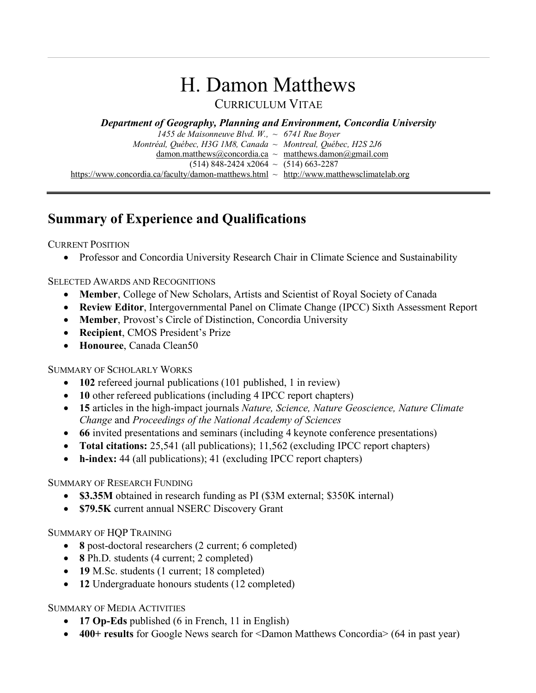# H. Damon Matthews

### CURRICULUM VITAE

*Department of Geography, Planning and Environment, Concordia University*

| 1455 de Maisonneuve Blvd. W., $\sim 6741$ Rue Bover                                           |  |
|-----------------------------------------------------------------------------------------------|--|
| Montréal, Québec, H3G 1M8, Canada ~ Montreal, Québec, H2S 2J6                                 |  |
| damon.matthews@concordia.ca $\sim$ matthews.damon@gmail.com                                   |  |
| $(514)$ 848-2424 x2064 ~ $(514)$ 663-2287                                                     |  |
| https://www.concordia.ca/faculty/damon-matthews.html $\sim$ http://www.matthewsclimatelab.org |  |

# **Summary of Experience and Qualifications**

CURRENT POSITION

• Professor and Concordia University Research Chair in Climate Science and Sustainability

#### SELECTED AWARDS AND RECOGNITIONS

- **Member**, College of New Scholars, Artists and Scientist of Royal Society of Canada
- **Review Editor**, Intergovernmental Panel on Climate Change (IPCC) Sixth Assessment Report
- **Member**, Provost's Circle of Distinction, Concordia University
- **Recipient**, CMOS President's Prize
- **Honouree**, Canada Clean50

#### SUMMARY OF SCHOLARLY WORKS

- **102** refereed journal publications (101 published, 1 in review)
- **10** other refereed publications (including 4 IPCC report chapters)
- **15** articles in the high-impact journals *Nature, Science, Nature Geoscience, Nature Climate Change* and *Proceedings of the National Academy of Sciences*
- **66** invited presentations and seminars (including 4 keynote conference presentations)
- **Total citations:** 25,541 (all publications); 11,562 (excluding IPCC report chapters)
- **h-index:** 44 (all publications); 41 (excluding IPCC report chapters)

#### SUMMARY OF RESEARCH FUNDING

- **\$3.35M** obtained in research funding as PI (\$3M external; \$350K internal)
- **\$79.5K** current annual NSERC Discovery Grant

#### SUMMARY OF HQP TRAINING

- **8** post-doctoral researchers (2 current; 6 completed)
- **8** Ph.D. students (4 current; 2 completed)
- **19** M.Sc. students (1 current; 18 completed)
- **12** Undergraduate honours students (12 completed)

#### SUMMARY OF MEDIA ACTIVITIES

- **17 Op-Eds** published (6 in French, 11 in English)
- **400+ results** for Google News search for <Damon Matthews Concordia> (64 in past year)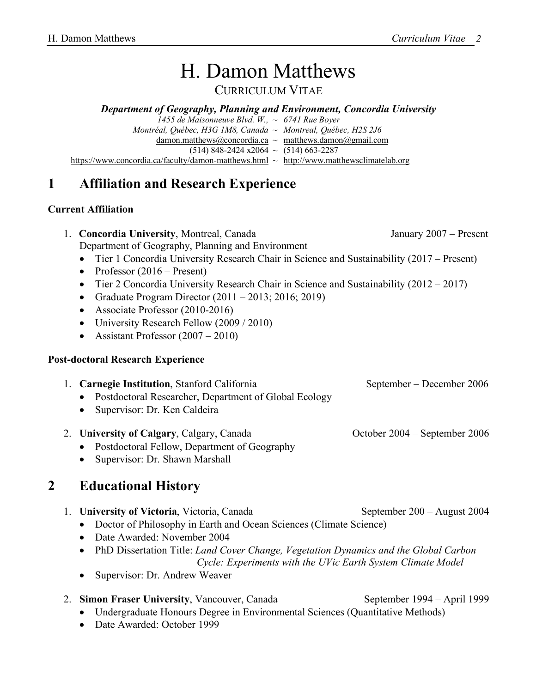# H. Damon Matthews

CURRICULUM VITAE

#### *Department of Geography, Planning and Environment, Concordia University*

*1455 de Maisonneuve Blvd. W., ~ 6741 Rue Boyer Montréal, Québec, H3G 1M8, Canada ~ Montreal, Québec, H2S 2J6*  $d$ amon.matthews@concordia.ca ~ matthews.damon@gmail.com  $(514)$  848-2424 x2064 ~  $(514)$  663-2287 https://www.concordia.ca/faculty/damon-matthews.html ~ http://www.matthewsclimatelab.org

# **1 Affiliation and Research Experience**

#### **Current Affiliation**

| 1. Concordia University, Montreal, Canada         | January 2007 – Present |
|---------------------------------------------------|------------------------|
| Department of Geography, Planning and Environment |                        |
|                                                   |                        |

- Tier 1 Concordia University Research Chair in Science and Sustainability (2017 Present)
- Professor (2016 Present)
- Tier 2 Concordia University Research Chair in Science and Sustainability (2012 2017)
- Graduate Program Director  $(2011 2013; 2016; 2019)$
- Associate Professor (2010-2016)
- University Research Fellow (2009 / 2010)
- Assistant Professor  $(2007 2010)$

#### **Post-doctoral Research Experience**

1. **Carnegie Institution**, Stanford California September – December 2006 • Postdoctoral Researcher, Department of Global Ecology • Supervisor: Dr. Ken Caldeira

#### 2. **University of Calgary, Calgary, Canada** October 2004 – September 2006

- Postdoctoral Fellow, Department of Geography
- Supervisor: Dr. Shawn Marshall

## **2 Educational History**

- 1. **University of Victoria**, Victoria, Canada September 200 August 2004
	- Doctor of Philosophy in Earth and Ocean Sciences (Climate Science)
	- Date Awarded: November 2004
	- PhD Dissertation Title: *Land Cover Change, Vegetation Dynamics and the Global Carbon Cycle: Experiments with the UVic Earth System Climate Model*
	- Supervisor: Dr. Andrew Weaver

## 2. **Simon Fraser University**, Vancouver, Canada September 1994 – April 1999

- Undergraduate Honours Degree in Environmental Sciences (Quantitative Methods)
- Date Awarded: October 1999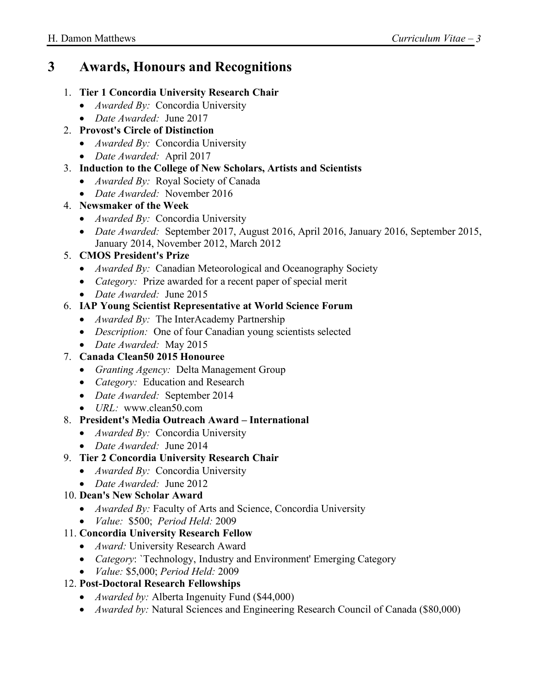# **3 Awards, Honours and Recognitions**

#### 1. **Tier 1 Concordia University Research Chair**

- *Awarded By:* Concordia University
- *Date Awarded:* June 2017
- 2. **Provost's Circle of Distinction**
	- *Awarded By:* Concordia University
	- *Date Awarded:* April 2017

#### 3. **Induction to the College of New Scholars, Artists and Scientists**

- *Awarded By:* Royal Society of Canada
- *Date Awarded:* November 2016

#### 4. **Newsmaker of the Week**

- *Awarded By:* Concordia University
- *Date Awarded:* September 2017, August 2016, April 2016, January 2016, September 2015, January 2014, November 2012, March 2012

#### 5. **CMOS President's Prize**

- *Awarded By:* Canadian Meteorological and Oceanography Society
- *Category:* Prize awarded for a recent paper of special merit
- *Date Awarded:* June 2015

#### 6. **IAP Young Scientist Representative at World Science Forum**

- *Awarded By:* The InterAcademy Partnership
- *Description:* One of four Canadian young scientists selected
- *Date Awarded:* May 2015
- 7. **Canada Clean50 2015 Honouree**
	- *Granting Agency:* Delta Management Group
	- *Category:* Education and Research
	- *Date Awarded:* September 2014
	- *URL:* www.clean50.com

#### 8. **President's Media Outreach Award – International**

- *Awarded By:* Concordia University
- *Date Awarded:* June 2014

#### 9. **Tier 2 Concordia University Research Chair**

- *Awarded By:* Concordia University
- *Date Awarded:* June 2012

#### 10. **Dean's New Scholar Award**

- *Awarded By:* Faculty of Arts and Science, Concordia University
- *Value:* \$500; *Period Held:* 2009

#### 11. **Concordia University Research Fellow**

- *Award:* University Research Award
- *Category*: `Technology, Industry and Environment' Emerging Category
- *Value:* \$5,000; *Period Held:* 2009

#### 12. **Post-Doctoral Research Fellowships**

- *Awarded by:* Alberta Ingenuity Fund (\$44,000)
- *Awarded by:* Natural Sciences and Engineering Research Council of Canada (\$80,000)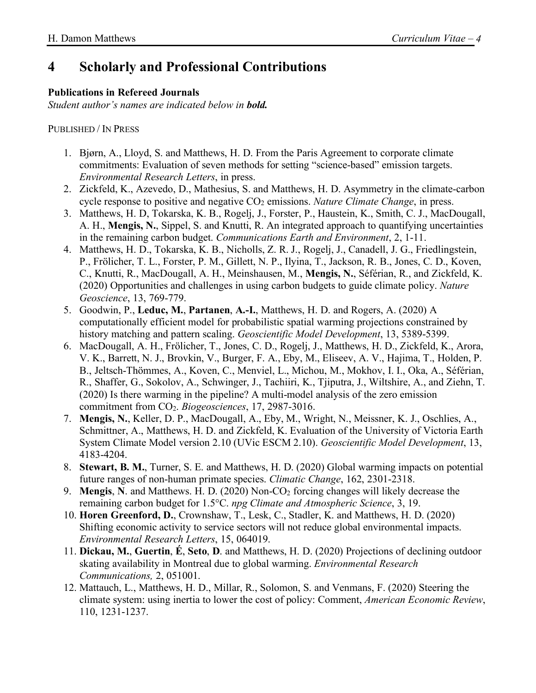# **4 Scholarly and Professional Contributions**

#### **Publications in Refereed Journals**

*Student author's names are indicated below in bold.* 

PUBLISHED / IN PRESS

- 1. Bjørn, A., Lloyd, S. and Matthews, H. D. From the Paris Agreement to corporate climate commitments: Evaluation of seven methods for setting "science-based" emission targets. *Environmental Research Letters*, in press.
- 2. Zickfeld, K., Azevedo, D., Mathesius, S. and Matthews, H. D. Asymmetry in the climate-carbon cycle response to positive and negative CO<sub>2</sub> emissions. *Nature Climate Change*, in press.
- 3. Matthews, H. D, Tokarska, K. B., Rogelj, J., Forster, P., Haustein, K., Smith, C. J., MacDougall, A. H., **Mengis, N.**, Sippel, S. and Knutti, R. An integrated approach to quantifying uncertainties in the remaining carbon budget. *Communications Earth and Environment*, 2, 1-11.
- 4. Matthews, H. D., Tokarska, K. B., Nicholls, Z. R. J., Rogelj, J., Canadell, J. G., Friedlingstein, P., Frölicher, T. L., Forster, P. M., Gillett, N. P., Ilyina, T., Jackson, R. B., Jones, C. D., Koven, C., Knutti, R., MacDougall, A. H., Meinshausen, M., **Mengis, N.**, Séférian, R., and Zickfeld, K. (2020) Opportunities and challenges in using carbon budgets to guide climate policy. *Nature Geoscience*, 13, 769-779.
- 5. Goodwin, P., **Leduc, M.**, **Partanen**, **A.-I.**, Matthews, H. D. and Rogers, A. (2020) A computationally efficient model for probabilistic spatial warming projections constrained by history matching and pattern scaling. *Geoscientific Model Development*, 13, 5389-5399.
- 6. MacDougall, A. H., Frölicher, T., Jones, C. D., Rogelj, J., Matthews, H. D., Zickfeld, K., Arora, V. K., Barrett, N. J., Brovkin, V., Burger, F. A., Eby, M., Eliseev, A. V., Hajima, T., Holden, P. B., Jeltsch-Thömmes, A., Koven, C., Menviel, L., Michou, M., Mokhov, I. I., Oka, A., Séférian, R., Shaffer, G., Sokolov, A., Schwinger, J., Tachiiri, K., Tjiputra, J., Wiltshire, A., and Ziehn, T. (2020) Is there warming in the pipeline? A multi-model analysis of the zero emission commitment from CO2. *Biogeosciences*, 17, 2987-3016.
- 7. **Mengis, N.**, Keller, D. P., MacDougall, A., Eby, M., Wright, N., Meissner, K. J., Oschlies, A., Schmittner, A., Matthews, H. D. and Zickfeld, K. Evaluation of the University of Victoria Earth System Climate Model version 2.10 (UVic ESCM 2.10). *Geoscientific Model Development*, 13, 4183-4204.
- 8. **Stewart, B. M.**, Turner, S. E. and Matthews, H. D. (2020) Global warming impacts on potential future ranges of non-human primate species. *Climatic Change*, 162, 2301-2318.
- 9. **Mengis, N.** and Matthews. H. D. (2020) Non-CO<sub>2</sub> forcing changes will likely decrease the remaining carbon budget for 1.5°C. *npg Climate and Atmospheric Science*, 3, 19.
- 10. **Horen Greenford, D.**, Crownshaw, T., Lesk, C., Stadler, K. and Matthews, H. D. (2020) Shifting economic activity to service sectors will not reduce global environmental impacts. *Environmental Research Letters*, 15, 064019.
- 11. **Dickau, M.**, **Guertin**, **É**, **Seto**, **D**. and Matthews, H. D. (2020) Projections of declining outdoor skating availability in Montreal due to global warming. *Environmental Research Communications,* 2, 051001.
- 12. Mattauch, L., Matthews, H. D., Millar, R., Solomon, S. and Venmans, F. (2020) Steering the climate system: using inertia to lower the cost of policy: Comment, *American Economic Review*, 110, 1231-1237.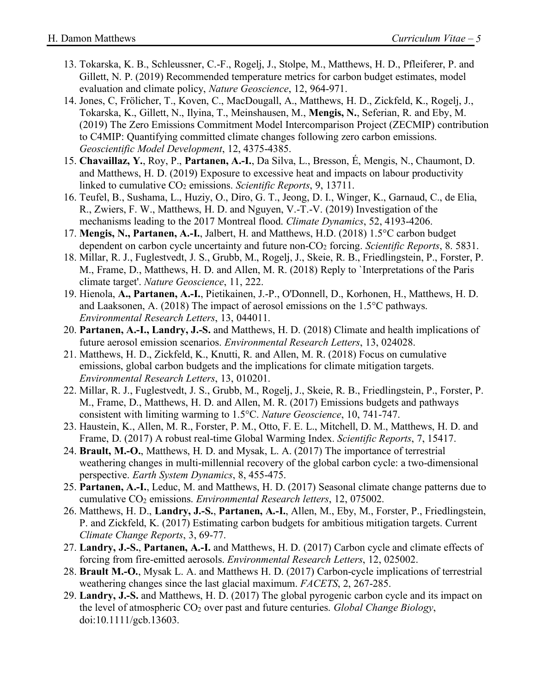- 13. Tokarska, K. B., Schleussner, C.-F., Rogelj, J., Stolpe, M., Matthews, H. D., Pfleiferer, P. and Gillett, N. P. (2019) Recommended temperature metrics for carbon budget estimates, model evaluation and climate policy, *Nature Geoscience*, 12, 964-971.
- 14. Jones, C, Frölicher, T., Koven, C., MacDougall, A., Matthews, H. D., Zickfeld, K., Rogelj, J., Tokarska, K., Gillett, N., Ilyina, T., Meinshausen, M., **Mengis, N.**, Seferian, R. and Eby, M. (2019) The Zero Emissions Commitment Model Intercomparison Project (ZECMIP) contribution to C4MIP: Quantifying committed climate changes following zero carbon emissions. *Geoscientific Model Development*, 12, 4375-4385.
- 15. **Chavaillaz, Y.**, Roy, P., **Partanen, A.-I.**, Da Silva, L., Bresson, É, Mengis, N., Chaumont, D. and Matthews, H. D. (2019) Exposure to excessive heat and impacts on labour productivity linked to cumulative CO<sub>2</sub> emissions. *Scientific Reports*, 9, 13711.
- 16. Teufel, B., Sushama, L., Huziy, O., Diro, G. T., Jeong, D. I., Winger, K., Garnaud, C., de Elia, R., Zwiers, F. W., Matthews, H. D. and Nguyen, V.-T.-V. (2019) Investigation of the mechanisms leading to the 2017 Montreal flood. *Climate Dynamics*, 52, 4193-4206.
- 17. **Mengis, N., Partanen, A.-I.**, Jalbert, H. and Matthews, H.D. (2018) 1.5°C carbon budget dependent on carbon cycle uncertainty and future non-CO<sub>2</sub> forcing. *Scientific Reports*, 8. 5831.
- 18. Millar, R. J., Fuglestvedt, J. S., Grubb, M., Rogelj, J., Skeie, R. B., Friedlingstein, P., Forster, P. M., Frame, D., Matthews, H. D. and Allen, M. R. (2018) Reply to `Interpretations of the Paris climate target'. *Nature Geoscience*, 11, 222.
- 19. Hienola, **A., Partanen, A.-I.**, Pietikainen, J.-P., O'Donnell, D., Korhonen, H., Matthews, H. D. and Laaksonen, A. (2018) The impact of aerosol emissions on the 1.5°C pathways. *Environmental Research Letters*, 13, 044011.
- 20. **Partanen, A.-I., Landry, J.-S.** and Matthews, H. D. (2018) Climate and health implications of future aerosol emission scenarios. *Environmental Research Letters*, 13, 024028.
- 21. Matthews, H. D., Zickfeld, K., Knutti, R. and Allen, M. R. (2018) Focus on cumulative emissions, global carbon budgets and the implications for climate mitigation targets. *Environmental Research Letters*, 13, 010201.
- 22. Millar, R. J., Fuglestvedt, J. S., Grubb, M., Rogelj, J., Skeie, R. B., Friedlingstein, P., Forster, P. M., Frame, D., Matthews, H. D. and Allen, M. R. (2017) Emissions budgets and pathways consistent with limiting warming to 1.5°C. *Nature Geoscience*, 10, 741-747.
- 23. Haustein, K., Allen, M. R., Forster, P. M., Otto, F. E. L., Mitchell, D. M., Matthews, H. D. and Frame, D. (2017) A robust real-time Global Warming Index. *Scientific Reports*, 7, 15417.
- 24. **Brault, M.-O.**, Matthews, H. D. and Mysak, L. A. (2017) The importance of terrestrial weathering changes in multi-millennial recovery of the global carbon cycle: a two-dimensional perspective. *Earth System Dynamics*, 8, 455-475.
- 25. **Partanen, A.-I.**, Leduc, M. and Matthews, H. D. (2017) Seasonal climate change patterns due to cumulative CO2 emissions. *Environmental Research letters*, 12, 075002.
- 26. Matthews, H. D., **Landry, J.-S.**, **Partanen, A.-I.**, Allen, M., Eby, M., Forster, P., Friedlingstein, P. and Zickfeld, K. (2017) Estimating carbon budgets for ambitious mitigation targets. Current *Climate Change Reports*, 3, 69-77.
- 27. **Landry, J.-S.**, **Partanen, A.-I.** and Matthews, H. D. (2017) Carbon cycle and climate effects of forcing from fire-emitted aerosols. *Environmental Research Letters*, 12, 025002.
- 28. **Brault M.-O.**, Mysak L. A. and Matthews H. D. (2017) Carbon-cycle implications of terrestrial weathering changes since the last glacial maximum. *FACETS*, 2, 267-285.
- 29. **Landry, J.-S.** and Matthews, H. D. (2017) The global pyrogenic carbon cycle and its impact on the level of atmospheric CO2 over past and future centuries. *Global Change Biology*, doi:10.1111/gcb.13603.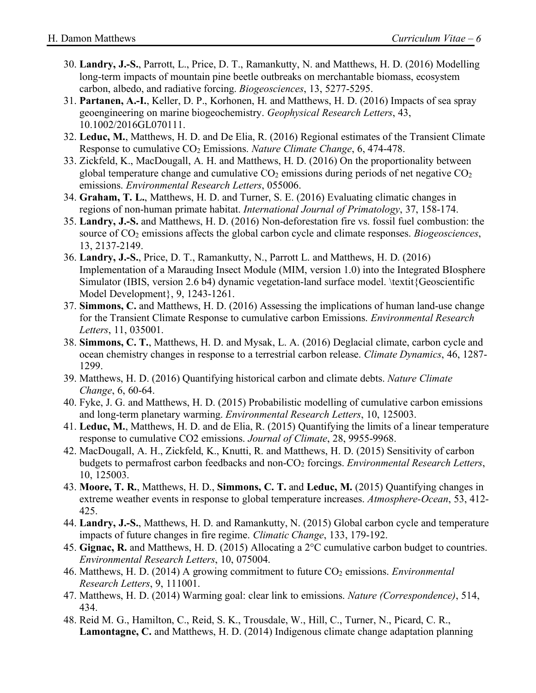- 30. **Landry, J.-S.**, Parrott, L., Price, D. T., Ramankutty, N. and Matthews, H. D. (2016) Modelling long-term impacts of mountain pine beetle outbreaks on merchantable biomass, ecosystem carbon, albedo, and radiative forcing. *Biogeosciences*, 13, 5277-5295.
- 31. **Partanen, A.-I.**, Keller, D. P., Korhonen, H. and Matthews, H. D. (2016) Impacts of sea spray geoengineering on marine biogeochemistry. *Geophysical Research Letters*, 43, 10.1002/2016GL070111.
- 32. **Leduc, M.**, Matthews, H. D. and De Elia, R. (2016) Regional estimates of the Transient Climate Response to cumulative CO2 Emissions. *Nature Climate Change*, 6, 474-478.
- 33. Zickfeld, K., MacDougall, A. H. and Matthews, H. D. (2016) On the proportionality between global temperature change and cumulative  $CO<sub>2</sub>$  emissions during periods of net negative  $CO<sub>2</sub>$ emissions. *Environmental Research Letters*, 055006.
- 34. **Graham, T. L.**, Matthews, H. D. and Turner, S. E. (2016) Evaluating climatic changes in regions of non-human primate habitat. *International Journal of Primatology*, 37, 158-174.
- 35. **Landry, J.-S.** and Matthews, H. D. (2016) Non-deforestation fire vs. fossil fuel combustion: the source of CO2 emissions affects the global carbon cycle and climate responses. *Biogeosciences*, 13, 2137-2149.
- 36. **Landry, J.-S.**, Price, D. T., Ramankutty, N., Parrott L. and Matthews, H. D. (2016) Implementation of a Marauding Insect Module (MIM, version 1.0) into the Integrated BIosphere Simulator (IBIS, version 2.6 b4) dynamic vegetation-land surface model. \textit{Geoscientific Model Development}, 9, 1243-1261.
- 37. **Simmons, C.** and Matthews, H. D. (2016) Assessing the implications of human land-use change for the Transient Climate Response to cumulative carbon Emissions. *Environmental Research Letters*, 11, 035001.
- 38. **Simmons, C. T.**, Matthews, H. D. and Mysak, L. A. (2016) Deglacial climate, carbon cycle and ocean chemistry changes in response to a terrestrial carbon release. *Climate Dynamics*, 46, 1287- 1299.
- 39. Matthews, H. D. (2016) Quantifying historical carbon and climate debts. *Nature Climate Change*, 6, 60-64.
- 40. Fyke, J. G. and Matthews, H. D. (2015) Probabilistic modelling of cumulative carbon emissions and long-term planetary warming. *Environmental Research Letters*, 10, 125003.
- 41. **Leduc, M.**, Matthews, H. D. and de Elia, R. (2015) Quantifying the limits of a linear temperature response to cumulative CO2 emissions. *Journal of Climate*, 28, 9955-9968.
- 42. MacDougall, A. H., Zickfeld, K., Knutti, R. and Matthews, H. D. (2015) Sensitivity of carbon budgets to permafrost carbon feedbacks and non-CO2 forcings. *Environmental Research Letters*, 10, 125003.
- 43. **Moore, T. R.**, Matthews, H. D., **Simmons, C. T.** and **Leduc, M.** (2015) Quantifying changes in extreme weather events in response to global temperature increases. *Atmosphere-Ocean*, 53, 412- 425.
- 44. **Landry, J.-S.**, Matthews, H. D. and Ramankutty, N. (2015) Global carbon cycle and temperature impacts of future changes in fire regime. *Climatic Change*, 133, 179-192.
- 45. **Gignac, R.** and Matthews, H. D. (2015) Allocating a 2°C cumulative carbon budget to countries. *Environmental Research Letters*, 10, 075004.
- 46. Matthews, H. D. (2014) A growing commitment to future CO<sub>2</sub> emissions. *Environmental Research Letters*, 9, 111001.
- 47. Matthews, H. D. (2014) Warming goal: clear link to emissions. *Nature (Correspondence)*, 514, 434.
- 48. Reid M. G., Hamilton, C., Reid, S. K., Trousdale, W., Hill, C., Turner, N., Picard, C. R., **Lamontagne, C.** and Matthews, H. D. (2014) Indigenous climate change adaptation planning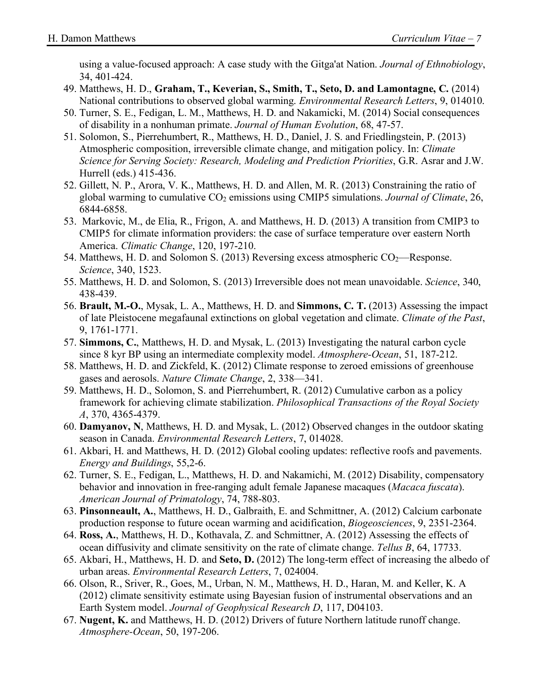using a value-focused approach: A case study with the Gitga'at Nation. *Journal of Ethnobiology*, 34, 401-424.

- 49. Matthews, H. D., **Graham, T., Keverian, S., Smith, T., Seto, D. and Lamontagne, C.** (2014) National contributions to observed global warming. *Environmental Research Letters*, 9, 014010.
- 50. Turner, S. E., Fedigan, L. M., Matthews, H. D. and Nakamicki, M. (2014) Social consequences of disability in a nonhuman primate. *Journal of Human Evolution*, 68, 47-57.
- 51. Solomon, S., Pierrehumbert, R., Matthews, H. D., Daniel, J. S. and Friedlingstein, P. (2013) Atmospheric composition, irreversible climate change, and mitigation policy. In: *Climate Science for Serving Society: Research, Modeling and Prediction Priorities*, G.R. Asrar and J.W. Hurrell (eds.) 415-436.
- 52. Gillett, N. P., Arora, V. K., Matthews, H. D. and Allen, M. R. (2013) Constraining the ratio of global warming to cumulative CO2 emissions using CMIP5 simulations. *Journal of Climate*, 26, 6844-6858.
- 53. Markovic, M., de Elia, R., Frigon, A. and Matthews, H. D. (2013) A transition from CMIP3 to CMIP5 for climate information providers: the case of surface temperature over eastern North America. *Climatic Change*, 120, 197-210.
- 54. Matthews, H. D. and Solomon S. (2013) Reversing excess atmospheric  $CO<sub>2</sub>$ —Response. *Science*, 340, 1523.
- 55. Matthews, H. D. and Solomon, S. (2013) Irreversible does not mean unavoidable. *Science*, 340, 438-439.
- 56. **Brault, M.-O.**, Mysak, L. A., Matthews, H. D. and **Simmons, C. T.** (2013) Assessing the impact of late Pleistocene megafaunal extinctions on global vegetation and climate. *Climate of the Past*, 9, 1761-1771.
- 57. **Simmons, C.**, Matthews, H. D. and Mysak, L. (2013) Investigating the natural carbon cycle since 8 kyr BP using an intermediate complexity model. *Atmosphere-Ocean*, 51, 187-212.
- 58. Matthews, H. D. and Zickfeld, K. (2012) Climate response to zeroed emissions of greenhouse gases and aerosols. *Nature Climate Change*, 2, 338—341.
- 59. Matthews, H. D., Solomon, S. and Pierrehumbert, R. (2012) Cumulative carbon as a policy framework for achieving climate stabilization. *Philosophical Transactions of the Royal Society A*, 370, 4365-4379.
- 60. **Damyanov, N**, Matthews, H. D. and Mysak, L. (2012) Observed changes in the outdoor skating season in Canada. *Environmental Research Letters*, 7, 014028.
- 61. Akbari, H. and Matthews, H. D. (2012) Global cooling updates: reflective roofs and pavements. *Energy and Buildings*, 55,2-6.
- 62. Turner, S. E., Fedigan, L., Matthews, H. D. and Nakamichi, M. (2012) Disability, compensatory behavior and innovation in free-ranging adult female Japanese macaques (*Macaca fuscata*). *American Journal of Primatology*, 74, 788-803.
- 63. **Pinsonneault, A.**, Matthews, H. D., Galbraith, E. and Schmittner, A. (2012) Calcium carbonate production response to future ocean warming and acidification, *Biogeosciences*, 9, 2351-2364.
- 64. **Ross, A.**, Matthews, H. D., Kothavala, Z. and Schmittner, A. (2012) Assessing the effects of ocean diffusivity and climate sensitivity on the rate of climate change. *Tellus B*, 64, 17733.
- 65. Akbari, H., Matthews, H. D. and **Seto, D.** (2012) The long-term effect of increasing the albedo of urban areas. *Environmental Research Letters*, 7, 024004.
- 66. Olson, R., Sriver, R., Goes, M., Urban, N. M., Matthews, H. D., Haran, M. and Keller, K. A (2012) climate sensitivity estimate using Bayesian fusion of instrumental observations and an Earth System model. *Journal of Geophysical Research D*, 117, D04103.
- 67. **Nugent, K.** and Matthews, H. D. (2012) Drivers of future Northern latitude runoff change. *Atmosphere-Ocean*, 50, 197-206.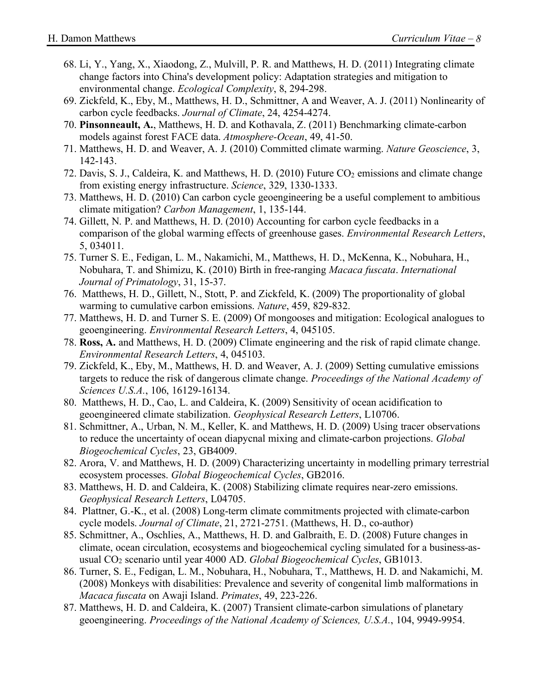- 68. Li, Y., Yang, X., Xiaodong, Z., Mulvill, P. R. and Matthews, H. D. (2011) Integrating climate change factors into China's development policy: Adaptation strategies and mitigation to environmental change. *Ecological Complexity*, 8, 294-298.
- 69. Zickfeld, K., Eby, M., Matthews, H. D., Schmittner, A and Weaver, A. J. (2011) Nonlinearity of carbon cycle feedbacks. *Journal of Climate*, 24, 4254-4274.
- 70. **Pinsonneault, A.**, Matthews, H. D. and Kothavala, Z. (2011) Benchmarking climate-carbon models against forest FACE data. *Atmosphere-Ocean*, 49, 41-50.
- 71. Matthews, H. D. and Weaver, A. J. (2010) Committed climate warming. *Nature Geoscience*, 3, 142-143.
- 72. Davis, S. J., Caldeira, K. and Matthews, H. D. (2010) Future CO<sub>2</sub> emissions and climate change from existing energy infrastructure. *Science*, 329, 1330-1333.
- 73. Matthews, H. D. (2010) Can carbon cycle geoengineering be a useful complement to ambitious climate mitigation? *Carbon Management*, 1, 135-144.
- 74. Gillett, N. P. and Matthews, H. D. (2010) Accounting for carbon cycle feedbacks in a comparison of the global warming effects of greenhouse gases. *Environmental Research Letters*, 5, 034011.
- 75. Turner S. E., Fedigan, L. M., Nakamichi, M., Matthews, H. D., McKenna, K., Nobuhara, H., Nobuhara, T. and Shimizu, K. (2010) Birth in free-ranging *Macaca fuscata*. *International Journal of Primatology*, 31, 15-37.
- 76. Matthews, H. D., Gillett, N., Stott, P. and Zickfeld, K. (2009) The proportionality of global warming to cumulative carbon emissions. *Nature*, 459, 829-832.
- 77. Matthews, H. D. and Turner S. E. (2009) Of mongooses and mitigation: Ecological analogues to geoengineering. *Environmental Research Letters*, 4, 045105.
- 78. **Ross, A.** and Matthews, H. D. (2009) Climate engineering and the risk of rapid climate change. *Environmental Research Letters*, 4, 045103.
- 79. Zickfeld, K., Eby, M., Matthews, H. D. and Weaver, A. J. (2009) Setting cumulative emissions targets to reduce the risk of dangerous climate change. *Proceedings of the National Academy of Sciences U.S.A.*, 106, 16129-16134.
- 80. Matthews, H. D., Cao, L. and Caldeira, K. (2009) Sensitivity of ocean acidification to geoengineered climate stabilization. *Geophysical Research Letters*, L10706.
- 81. Schmittner, A., Urban, N. M., Keller, K. and Matthews, H. D. (2009) Using tracer observations to reduce the uncertainty of ocean diapycnal mixing and climate-carbon projections. *Global Biogeochemical Cycles*, 23, GB4009.
- 82. Arora, V. and Matthews, H. D. (2009) Characterizing uncertainty in modelling primary terrestrial ecosystem processes. *Global Biogeochemical Cycles*, GB2016.
- 83. Matthews, H. D. and Caldeira, K. (2008) Stabilizing climate requires near-zero emissions. *Geophysical Research Letters*, L04705.
- 84. Plattner, G.-K., et al. (2008) Long-term climate commitments projected with climate-carbon cycle models. *Journal of Climate*, 21, 2721-2751. (Matthews, H. D., co-author)
- 85. Schmittner, A., Oschlies, A., Matthews, H. D. and Galbraith, E. D. (2008) Future changes in climate, ocean circulation, ecosystems and biogeochemical cycling simulated for a business-asusual CO2 scenario until year 4000 AD. *Global Biogeochemical Cycles*, GB1013.
- 86. Turner, S. E., Fedigan, L. M., Nobuhara, H., Nobuhara, T., Matthews, H. D. and Nakamichi, M. (2008) Monkeys with disabilities: Prevalence and severity of congenital limb malformations in *Macaca fuscata* on Awaji Island. *Primates*, 49, 223-226.
- 87. Matthews, H. D. and Caldeira, K. (2007) Transient climate-carbon simulations of planetary geoengineering. *Proceedings of the National Academy of Sciences, U.S.A.*, 104, 9949-9954.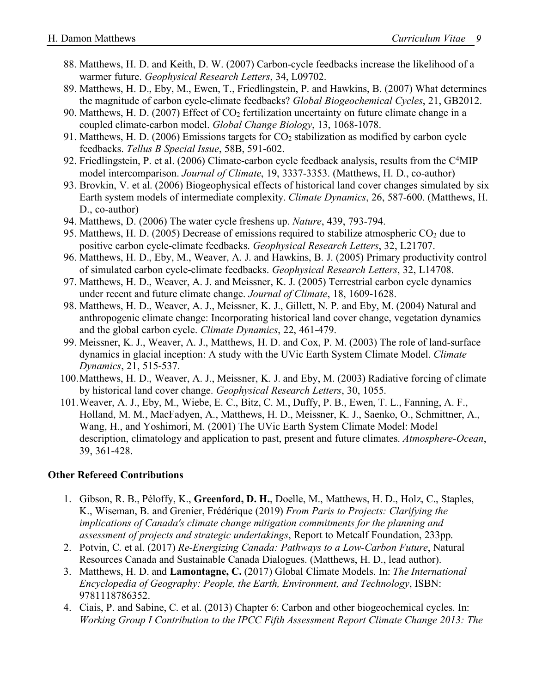- 88. Matthews, H. D. and Keith, D. W. (2007) Carbon-cycle feedbacks increase the likelihood of a warmer future. *Geophysical Research Letters*, 34, L09702.
- 89. Matthews, H. D., Eby, M., Ewen, T., Friedlingstein, P. and Hawkins, B. (2007) What determines the magnitude of carbon cycle-climate feedbacks? *Global Biogeochemical Cycles*, 21, GB2012.
- 90. Matthews, H. D. (2007) Effect of CO2 fertilization uncertainty on future climate change in a coupled climate-carbon model. *Global Change Biology*, 13, 1068-1078.
- 91. Matthews, H. D. (2006) Emissions targets for  $CO<sub>2</sub>$  stabilization as modified by carbon cycle feedbacks. *Tellus B Special Issue*, 58B, 591-602.
- 92. Friedlingstein, P. et al. (2006) Climate-carbon cycle feedback analysis, results from the C<sup>4</sup>MIP model intercomparison. *Journal of Climate*, 19, 3337-3353. (Matthews, H. D., co-author)
- 93. Brovkin, V. et al. (2006) Biogeophysical effects of historical land cover changes simulated by six Earth system models of intermediate complexity. *Climate Dynamics*, 26, 587-600. (Matthews, H. D., co-author)
- 94. Matthews, D. (2006) The water cycle freshens up. *Nature*, 439, 793-794.
- 95. Matthews, H. D. (2005) Decrease of emissions required to stabilize atmospheric  $CO<sub>2</sub>$  due to positive carbon cycle-climate feedbacks. *Geophysical Research Letters*, 32, L21707.
- 96. Matthews, H. D., Eby, M., Weaver, A. J. and Hawkins, B. J. (2005) Primary productivity control of simulated carbon cycle-climate feedbacks. *Geophysical Research Letters*, 32, L14708.
- 97. Matthews, H. D., Weaver, A. J. and Meissner, K. J. (2005) Terrestrial carbon cycle dynamics under recent and future climate change. *Journal of Climate*, 18, 1609-1628.
- 98. Matthews, H. D., Weaver, A. J., Meissner, K. J., Gillett, N. P. and Eby, M. (2004) Natural and anthropogenic climate change: Incorporating historical land cover change, vegetation dynamics and the global carbon cycle. *Climate Dynamics*, 22, 461-479.
- 99. Meissner, K. J., Weaver, A. J., Matthews, H. D. and Cox, P. M. (2003) The role of land-surface dynamics in glacial inception: A study with the UVic Earth System Climate Model. *Climate Dynamics*, 21, 515-537.
- 100.Matthews, H. D., Weaver, A. J., Meissner, K. J. and Eby, M. (2003) Radiative forcing of climate by historical land cover change. *Geophysical Research Letters*, 30, 1055.
- 101.Weaver, A. J., Eby, M., Wiebe, E. C., Bitz, C. M., Duffy, P. B., Ewen, T. L., Fanning, A. F., Holland, M. M., MacFadyen, A., Matthews, H. D., Meissner, K. J., Saenko, O., Schmittner, A., Wang, H., and Yoshimori, M. (2001) The UVic Earth System Climate Model: Model description, climatology and application to past, present and future climates. *Atmosphere-Ocean*, 39, 361-428.

#### **Other Refereed Contributions**

- 1. Gibson, R. B., Péloffy, K., **Greenford, D. H.**, Doelle, M., Matthews, H. D., Holz, C., Staples, K., Wiseman, B. and Grenier, Frédérique (2019) *From Paris to Projects: Clarifying the implications of Canada's climate change mitigation commitments for the planning and assessment of projects and strategic undertakings*, Report to Metcalf Foundation, 233pp.
- 2. Potvin, C. et al. (2017) *Re-Energizing Canada: Pathways to a Low-Carbon Future*, Natural Resources Canada and Sustainable Canada Dialogues. (Matthews, H. D., lead author).
- 3. Matthews, H. D. and **Lamontagne, C.** (2017) Global Climate Models. In: *The International Encyclopedia of Geography: People, the Earth, Environment, and Technology*, ISBN: 9781118786352.
- 4. Ciais, P. and Sabine, C. et al. (2013) Chapter 6: Carbon and other biogeochemical cycles. In: *Working Group I Contribution to the IPCC Fifth Assessment Report Climate Change 2013: The*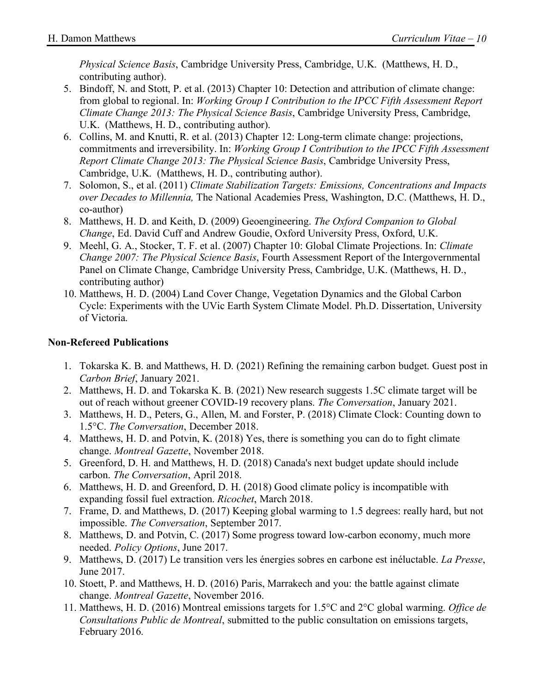*Physical Science Basis*, Cambridge University Press, Cambridge, U.K. (Matthews, H. D., contributing author).

- 5. Bindoff, N. and Stott, P. et al. (2013) Chapter 10: Detection and attribution of climate change: from global to regional. In: *Working Group I Contribution to the IPCC Fifth Assessment Report Climate Change 2013: The Physical Science Basis*, Cambridge University Press, Cambridge, U.K. (Matthews, H. D., contributing author).
- 6. Collins, M. and Knutti, R. et al. (2013) Chapter 12: Long-term climate change: projections, commitments and irreversibility. In: *Working Group I Contribution to the IPCC Fifth Assessment Report Climate Change 2013: The Physical Science Basis*, Cambridge University Press, Cambridge, U.K. (Matthews, H. D., contributing author).
- 7. Solomon, S., et al. (2011) *Climate Stabilization Targets: Emissions, Concentrations and Impacts over Decades to Millennia,* The National Academies Press, Washington, D.C. (Matthews, H. D., co-author)
- 8. Matthews, H. D. and Keith, D. (2009) Geoengineering. *The Oxford Companion to Global Change*, Ed. David Cuff and Andrew Goudie, Oxford University Press, Oxford, U.K.
- 9. Meehl, G. A., Stocker, T. F. et al. (2007) Chapter 10: Global Climate Projections. In: *Climate Change 2007: The Physical Science Basis*, Fourth Assessment Report of the Intergovernmental Panel on Climate Change, Cambridge University Press, Cambridge, U.K. (Matthews, H. D., contributing author)
- 10. Matthews, H. D. (2004) Land Cover Change, Vegetation Dynamics and the Global Carbon Cycle: Experiments with the UVic Earth System Climate Model. Ph.D. Dissertation, University of Victoria.

#### **Non-Refereed Publications**

- 1. Tokarska K. B. and Matthews, H. D. (2021) Refining the remaining carbon budget. Guest post in *Carbon Brief*, January 2021.
- 2. Matthews, H. D. and Tokarska K. B. (2021) New research suggests 1.5C climate target will be out of reach without greener COVID-19 recovery plans. *The Conversation*, January 2021.
- 3. Matthews, H. D., Peters, G., Allen, M. and Forster, P. (2018) Climate Clock: Counting down to 1.5°C. *The Conversation*, December 2018.
- 4. Matthews, H. D. and Potvin, K. (2018) Yes, there is something you can do to fight climate change. *Montreal Gazette*, November 2018.
- 5. Greenford, D. H. and Matthews, H. D. (2018) Canada's next budget update should include carbon. *The Conversation*, April 2018.
- 6. Matthews, H. D. and Greenford, D. H. (2018) Good climate policy is incompatible with expanding fossil fuel extraction. *Ricochet*, March 2018.
- 7. Frame, D. and Matthews, D. (2017) Keeping global warming to 1.5 degrees: really hard, but not impossible. *The Conversation*, September 2017.
- 8. Matthews, D. and Potvin, C. (2017) Some progress toward low-carbon economy, much more needed. *Policy Options*, June 2017.
- 9. Matthews, D. (2017) Le transition vers les énergies sobres en carbone est inéluctable. *La Presse*, June 2017.
- 10. Stoett, P. and Matthews, H. D. (2016) Paris, Marrakech and you: the battle against climate change. *Montreal Gazette*, November 2016.
- 11. Matthews, H. D. (2016) Montreal emissions targets for 1.5°C and 2°C global warming. *Office de Consultations Public de Montreal*, submitted to the public consultation on emissions targets, February 2016.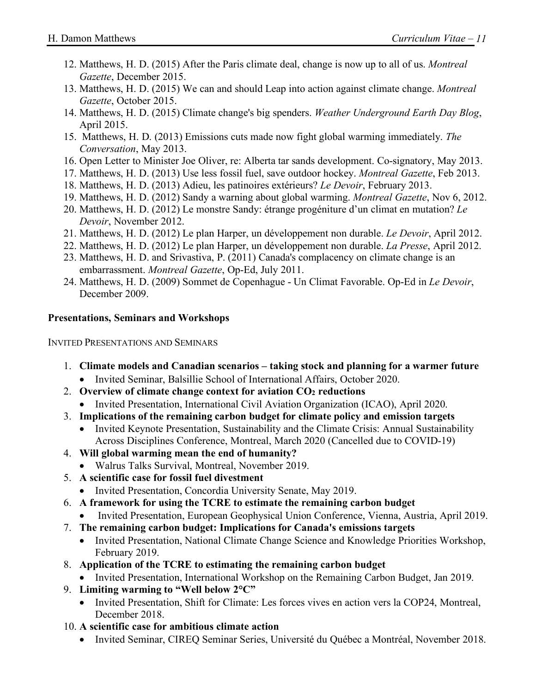- 12. Matthews, H. D. (2015) After the Paris climate deal, change is now up to all of us. *Montreal Gazette*, December 2015.
- 13. Matthews, H. D. (2015) We can and should Leap into action against climate change. *Montreal Gazette*, October 2015.
- 14. Matthews, H. D. (2015) Climate change's big spenders. *Weather Underground Earth Day Blog*, April 2015.
- 15. Matthews, H. D. (2013) Emissions cuts made now fight global warming immediately. *The Conversation*, May 2013.
- 16. Open Letter to Minister Joe Oliver, re: Alberta tar sands development. Co-signatory, May 2013.
- 17. Matthews, H. D. (2013) Use less fossil fuel, save outdoor hockey. *Montreal Gazette*, Feb 2013.
- 18. Matthews, H. D. (2013) Adieu, les patinoires extérieurs? *Le Devoir*, February 2013.
- 19. Matthews, H. D. (2012) Sandy a warning about global warming. *Montreal Gazette*, Nov 6, 2012.
- 20. Matthews, H. D. (2012) Le monstre Sandy: étrange progéniture d'un climat en mutation? *Le Devoir*, November 2012.
- 21. Matthews, H. D. (2012) Le plan Harper, un développement non durable. *Le Devoir*, April 2012.
- 22. Matthews, H. D. (2012) Le plan Harper, un développement non durable. *La Presse*, April 2012.
- 23. Matthews, H. D. and Srivastiva, P. (2011) Canada's complacency on climate change is an embarrassment. *Montreal Gazette*, Op-Ed, July 2011.
- 24. Matthews, H. D. (2009) Sommet de Copenhague Un Climat Favorable. Op-Ed in *Le Devoir*, December 2009.

#### **Presentations, Seminars and Workshops**

INVITED PRESENTATIONS AND SEMINARS

- 1. **Climate models and Canadian scenarios – taking stock and planning for a warmer future**
	- Invited Seminar, Balsillie School of International Affairs, October 2020.
- 2. **Overview of climate change context for aviation CO2 reductions**
	- Invited Presentation, International Civil Aviation Organization (ICAO), April 2020.
- 3. **Implications of the remaining carbon budget for climate policy and emission targets**
	- Invited Keynote Presentation, Sustainability and the Climate Crisis: Annual Sustainability Across Disciplines Conference, Montreal, March 2020 (Cancelled due to COVID-19)
- 4. **Will global warming mean the end of humanity?**
	- Walrus Talks Survival, Montreal, November 2019.
- 5. **A scientific case for fossil fuel divestment**
	- Invited Presentation, Concordia University Senate, May 2019.
- 6. **A framework for using the TCRE to estimate the remaining carbon budget**
- Invited Presentation, European Geophysical Union Conference, Vienna, Austria, April 2019.
- 7. **The remaining carbon budget: Implications for Canada's emissions targets**
	- Invited Presentation, National Climate Change Science and Knowledge Priorities Workshop, February 2019.
- 8. **Application of the TCRE to estimating the remaining carbon budget**
	- Invited Presentation, International Workshop on the Remaining Carbon Budget, Jan 2019.
- 9. **Limiting warming to "Well below 2°C"**
	- Invited Presentation, Shift for Climate: Les forces vives en action vers la COP24, Montreal, December 2018.
- 10. **A scientific case for ambitious climate action**
	- Invited Seminar, CIREQ Seminar Series, Université du Québec a Montréal, November 2018.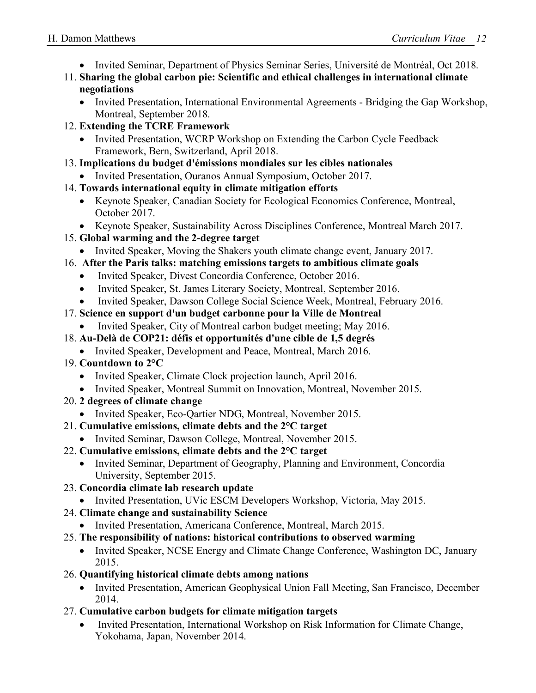- Invited Seminar, Department of Physics Seminar Series, Université de Montréal, Oct 2018.
- 11. **Sharing the global carbon pie: Scientific and ethical challenges in international climate negotiations**
	- Invited Presentation, International Environmental Agreements Bridging the Gap Workshop, Montreal, September 2018.
- 12. **Extending the TCRE Framework**
	- Invited Presentation, WCRP Workshop on Extending the Carbon Cycle Feedback Framework, Bern, Switzerland, April 2018.
- 13. **Implications du budget d'émissions mondiales sur les cibles nationales**
	- Invited Presentation, Ouranos Annual Symposium, October 2017.
- 14. **Towards international equity in climate mitigation efforts**
	- Keynote Speaker, Canadian Society for Ecological Economics Conference, Montreal, October 2017.
	- Keynote Speaker, Sustainability Across Disciplines Conference, Montreal March 2017.
- 15. **Global warming and the 2-degree target**
	- Invited Speaker, Moving the Shakers youth climate change event, January 2017.
- 16. **After the Paris talks: matching emissions targets to ambitious climate goals**
	- Invited Speaker, Divest Concordia Conference, October 2016.
	- Invited Speaker, St. James Literary Society, Montreal, September 2016.
	- Invited Speaker, Dawson College Social Science Week, Montreal, February 2016.
- 17. **Science en support d'un budget carbonne pour la Ville de Montreal**
	- Invited Speaker, City of Montreal carbon budget meeting; May 2016.
- 18. **Au-Delà de COP21: défis et opportunités d'une cible de 1,5 degrés**
	- Invited Speaker, Development and Peace, Montreal, March 2016.
- 19. **Countdown to 2°C**
	- Invited Speaker, Climate Clock projection launch, April 2016.
	- Invited Speaker, Montreal Summit on Innovation, Montreal, November 2015.
- 20. **2 degrees of climate change**
	- Invited Speaker, Eco-Qartier NDG, Montreal, November 2015.
- 21. **Cumulative emissions, climate debts and the 2°C target**
	- Invited Seminar, Dawson College, Montreal, November 2015.
- 22. **Cumulative emissions, climate debts and the 2°C target**
	- Invited Seminar, Department of Geography, Planning and Environment, Concordia University, September 2015.
- 23. **Concordia climate lab research update**
	- Invited Presentation, UVic ESCM Developers Workshop, Victoria, May 2015.
- 24. **Climate change and sustainability Science**
	- Invited Presentation, Americana Conference, Montreal, March 2015.
- 25. **The responsibility of nations: historical contributions to observed warming**
	- Invited Speaker, NCSE Energy and Climate Change Conference, Washington DC, January 2015.
- 26. **Quantifying historical climate debts among nations**
	- Invited Presentation, American Geophysical Union Fall Meeting, San Francisco, December 2014.
- 27. **Cumulative carbon budgets for climate mitigation targets**
	- Invited Presentation, International Workshop on Risk Information for Climate Change, Yokohama, Japan, November 2014.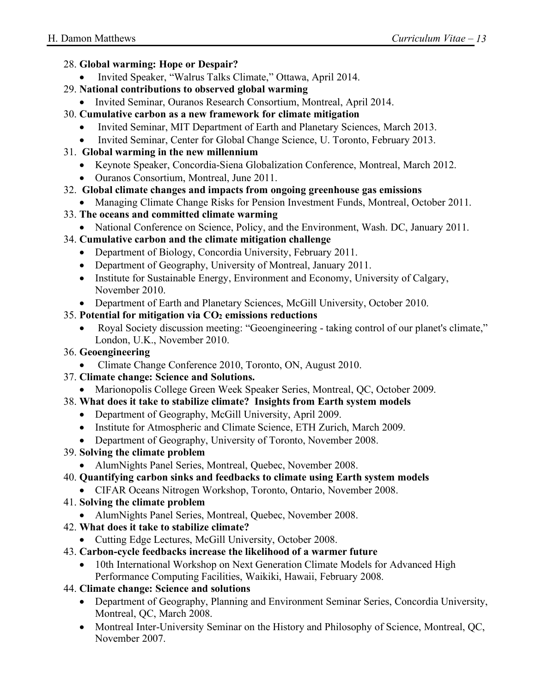- 28. **Global warming: Hope or Despair?**
	- Invited Speaker, "Walrus Talks Climate," Ottawa, April 2014.
- 29. **National contributions to observed global warming**
	- Invited Seminar, Ouranos Research Consortium, Montreal, April 2014.
- 30. **Cumulative carbon as a new framework for climate mitigation**
	- Invited Seminar, MIT Department of Earth and Planetary Sciences, March 2013.
	- Invited Seminar, Center for Global Change Science, U. Toronto, February 2013.
- 31. **Global warming in the new millennium**
	- Keynote Speaker, Concordia-Siena Globalization Conference, Montreal, March 2012.
	- Ouranos Consortium, Montreal, June 2011.
- 32. **Global climate changes and impacts from ongoing greenhouse gas emissions**
	- Managing Climate Change Risks for Pension Investment Funds, Montreal, October 2011.
- 33. **The oceans and committed climate warming**
	- National Conference on Science, Policy, and the Environment, Wash. DC, January 2011.
- 34. **Cumulative carbon and the climate mitigation challenge**
	- Department of Biology, Concordia University, February 2011.
	- Department of Geography, University of Montreal, January 2011.
	- Institute for Sustainable Energy, Environment and Economy, University of Calgary, November 2010.
	- Department of Earth and Planetary Sciences, McGill University, October 2010.

#### 35. **Potential for mitigation via CO2 emissions reductions**

- Royal Society discussion meeting: "Geoengineering taking control of our planet's climate," London, U.K., November 2010.
- 36. **Geoengineering**
	- Climate Change Conference 2010, Toronto, ON, August 2010.
- 37. **Climate change: Science and Solutions.**
	- Marionopolis College Green Week Speaker Series, Montreal, QC, October 2009.
- 38. **What does it take to stabilize climate? Insights from Earth system models**
	- Department of Geography, McGill University, April 2009.
	- Institute for Atmospheric and Climate Science, ETH Zurich, March 2009.
	- Department of Geography, University of Toronto, November 2008.
- 39. **Solving the climate problem**
	- AlumNights Panel Series, Montreal, Quebec, November 2008.
- 40. **Quantifying carbon sinks and feedbacks to climate using Earth system models**
- CIFAR Oceans Nitrogen Workshop, Toronto, Ontario, November 2008.
- 41. **Solving the climate problem**
	- AlumNights Panel Series, Montreal, Quebec, November 2008.
- 42. **What does it take to stabilize climate?**
	- Cutting Edge Lectures, McGill University, October 2008.
- 43. **Carbon-cycle feedbacks increase the likelihood of a warmer future**
	- 10th International Workshop on Next Generation Climate Models for Advanced High Performance Computing Facilities, Waikiki, Hawaii, February 2008.
- 44. **Climate change: Science and solutions**
	- Department of Geography, Planning and Environment Seminar Series, Concordia University, Montreal, QC, March 2008.
	- Montreal Inter-University Seminar on the History and Philosophy of Science, Montreal, QC, November 2007.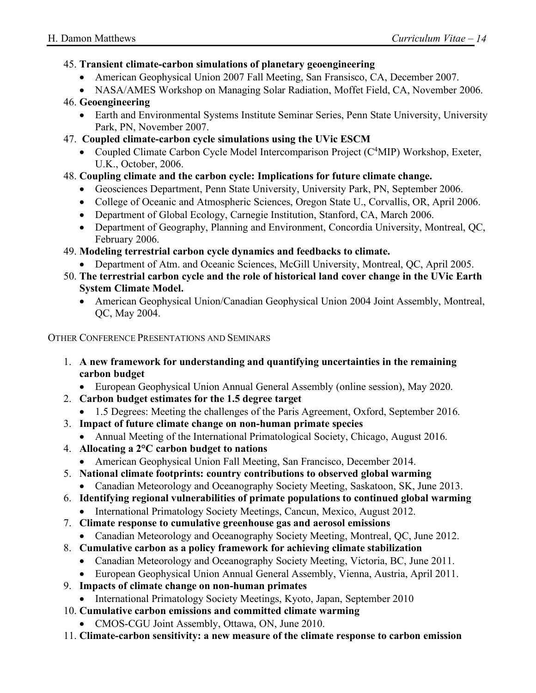#### 45. **Transient climate-carbon simulations of planetary geoengineering**

- American Geophysical Union 2007 Fall Meeting, San Fransisco, CA, December 2007.
- NASA/AMES Workshop on Managing Solar Radiation, Moffet Field, CA, November 2006.

#### 46. **Geoengineering**

- Earth and Environmental Systems Institute Seminar Series, Penn State University, University Park, PN, November 2007.
- 47. **Coupled climate-carbon cycle simulations using the UVic ESCM**
	- Coupled Climate Carbon Cycle Model Intercomparison Project (C<sup>4</sup>MIP) Workshop, Exeter, U.K., October, 2006.

#### 48. **Coupling climate and the carbon cycle: Implications for future climate change.**

- Geosciences Department, Penn State University, University Park, PN, September 2006.
- College of Oceanic and Atmospheric Sciences, Oregon State U., Corvallis, OR, April 2006.
- Department of Global Ecology, Carnegie Institution, Stanford, CA, March 2006.
- Department of Geography, Planning and Environment, Concordia University, Montreal, QC, February 2006.

#### 49. **Modeling terrestrial carbon cycle dynamics and feedbacks to climate.**

- Department of Atm. and Oceanic Sciences, McGill University, Montreal, QC, April 2005.
- 50. **The terrestrial carbon cycle and the role of historical land cover change in the UVic Earth System Climate Model.**
	- American Geophysical Union/Canadian Geophysical Union 2004 Joint Assembly, Montreal, QC, May 2004.

OTHER CONFERENCE PRESENTATIONS AND SEMINARS

- 1. **A new framework for understanding and quantifying uncertainties in the remaining carbon budget**
	- European Geophysical Union Annual General Assembly (online session), May 2020.
- 2. **Carbon budget estimates for the 1.5 degree target**
	- 1.5 Degrees: Meeting the challenges of the Paris Agreement, Oxford, September 2016.
- 3. **Impact of future climate change on non-human primate species**
	- Annual Meeting of the International Primatological Society, Chicago, August 2016.
- 4. **Allocating a 2°C carbon budget to nations**
	- American Geophysical Union Fall Meeting, San Francisco, December 2014.
- 5. **National climate footprints: country contributions to observed global warming**
	- Canadian Meteorology and Oceanography Society Meeting, Saskatoon, SK, June 2013.
- 6. **Identifying regional vulnerabilities of primate populations to continued global warming**
	- International Primatology Society Meetings, Cancun, Mexico, August 2012.
- 7. **Climate response to cumulative greenhouse gas and aerosol emissions**
	- Canadian Meteorology and Oceanography Society Meeting, Montreal, QC, June 2012.
- 8. **Cumulative carbon as a policy framework for achieving climate stabilization**
	- Canadian Meteorology and Oceanography Society Meeting, Victoria, BC, June 2011.
	- European Geophysical Union Annual General Assembly, Vienna, Austria, April 2011.
- 9. **Impacts of climate change on non-human primates**
	- International Primatology Society Meetings, Kyoto, Japan, September 2010
- 10. **Cumulative carbon emissions and committed climate warming**
	- CMOS-CGU Joint Assembly, Ottawa, ON, June 2010.
- 11. **Climate-carbon sensitivity: a new measure of the climate response to carbon emission**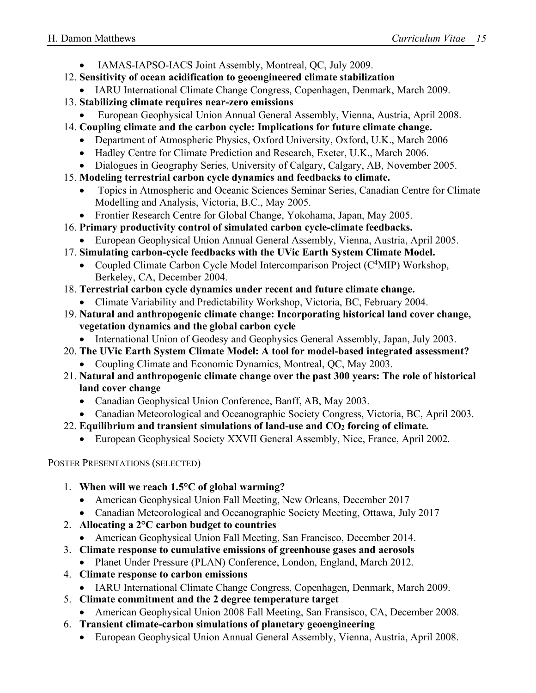- IAMAS-IAPSO-IACS Joint Assembly, Montreal, QC, July 2009.
- 12. **Sensitivity of ocean acidification to geoengineered climate stabilization**
	- IARU International Climate Change Congress, Copenhagen, Denmark, March 2009.
- 13. **Stabilizing climate requires near-zero emissions**
	- European Geophysical Union Annual General Assembly, Vienna, Austria, April 2008.
- 14. **Coupling climate and the carbon cycle: Implications for future climate change.**
	- Department of Atmospheric Physics, Oxford University, Oxford, U.K., March 2006
	- Hadley Centre for Climate Prediction and Research, Exeter, U.K., March 2006.
	- Dialogues in Geography Series, University of Calgary, Calgary, AB, November 2005.
- 15. **Modeling terrestrial carbon cycle dynamics and feedbacks to climate.**
	- Topics in Atmospheric and Oceanic Sciences Seminar Series, Canadian Centre for Climate Modelling and Analysis, Victoria, B.C., May 2005.
	- Frontier Research Centre for Global Change, Yokohama, Japan, May 2005.
- 16. **Primary productivity control of simulated carbon cycle-climate feedbacks.**
	- European Geophysical Union Annual General Assembly, Vienna, Austria, April 2005.
- 17. **Simulating carbon-cycle feedbacks with the UVic Earth System Climate Model.**
	- Coupled Climate Carbon Cycle Model Intercomparison Project  $(C<sup>4</sup>MIP)$  Workshop, Berkeley, CA, December 2004.
- 18. **Terrestrial carbon cycle dynamics under recent and future climate change.**
	- Climate Variability and Predictability Workshop, Victoria, BC, February 2004.
- 19. **Natural and anthropogenic climate change: Incorporating historical land cover change, vegetation dynamics and the global carbon cycle** 
	- International Union of Geodesy and Geophysics General Assembly, Japan, July 2003.
- 20. **The UVic Earth System Climate Model: A tool for model-based integrated assessment?**
	- Coupling Climate and Economic Dynamics, Montreal, QC, May 2003.
- 21. **Natural and anthropogenic climate change over the past 300 years: The role of historical land cover change** 
	- Canadian Geophysical Union Conference, Banff, AB, May 2003.
	- Canadian Meteorological and Oceanographic Society Congress, Victoria, BC, April 2003.
- 22. **Equilibrium and transient simulations of land-use and CO2 forcing of climate.**
	- European Geophysical Society XXVII General Assembly, Nice, France, April 2002.

POSTER PRESENTATIONS (SELECTED)

- 1. **When will we reach 1.5°C of global warming?**
	- American Geophysical Union Fall Meeting, New Orleans, December 2017
	- Canadian Meteorological and Oceanographic Society Meeting, Ottawa, July 2017
- 2. **Allocating a 2°C carbon budget to countries**
	- American Geophysical Union Fall Meeting, San Francisco, December 2014.
- 3. **Climate response to cumulative emissions of greenhouse gases and aerosols**
	- Planet Under Pressure (PLAN) Conference, London, England, March 2012.
- 4. **Climate response to carbon emissions**
	- IARU International Climate Change Congress, Copenhagen, Denmark, March 2009.
- 5. **Climate commitment and the 2 degree temperature target**
	- American Geophysical Union 2008 Fall Meeting, San Fransisco, CA, December 2008.
- 6. **Transient climate-carbon simulations of planetary geoengineering**
	- European Geophysical Union Annual General Assembly, Vienna, Austria, April 2008.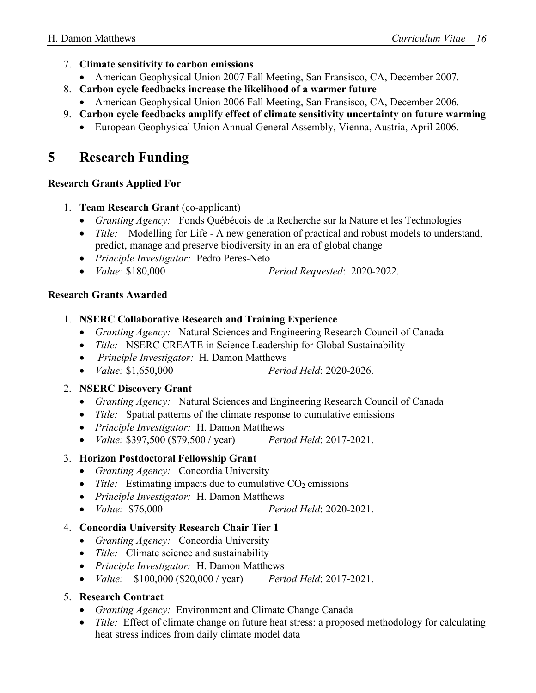#### 7. **Climate sensitivity to carbon emissions**

- American Geophysical Union 2007 Fall Meeting, San Fransisco, CA, December 2007.
- 8. **Carbon cycle feedbacks increase the likelihood of a warmer future**
	- American Geophysical Union 2006 Fall Meeting, San Fransisco, CA, December 2006.
- 9. **Carbon cycle feedbacks amplify effect of climate sensitivity uncertainty on future warming**
	- European Geophysical Union Annual General Assembly, Vienna, Austria, April 2006.

# **5 Research Funding**

#### **Research Grants Applied For**

- 1. **Team Research Grant** (co-applicant)
	- *Granting Agency:* Fonds Québécois de la Recherche sur la Nature et les Technologies
	- *Title:* Modelling for Life A new generation of practical and robust models to understand, predict, manage and preserve biodiversity in an era of global change
	- *Principle Investigator:* Pedro Peres-Neto
	- *Value:* \$180,000 *Period Requested*: 2020-2022.

#### **Research Grants Awarded**

#### 1. **NSERC Collaborative Research and Training Experience**

- *Granting Agency:* Natural Sciences and Engineering Research Council of Canada
- *Title:* NSERC CREATE in Science Leadership for Global Sustainability
- *Principle Investigator:* H. Damon Matthews
- *Value:* \$1,650,000 *Period Held*: 2020-2026.

#### 2. **NSERC Discovery Grant**

- *Granting Agency:* Natural Sciences and Engineering Research Council of Canada
- *Title:* Spatial patterns of the climate response to cumulative emissions
- *Principle Investigator:* H. Damon Matthews
- *Value:* \$397,500 (\$79,500 / year) *Period Held*: 2017-2021.

#### 3. **Horizon Postdoctoral Fellowship Grant**

- *Granting Agency:* Concordia University
- *Title:* Estimating impacts due to cumulative  $CO<sub>2</sub>$  emissions
- *Principle Investigator:* H. Damon Matthews
- *Value:* \$76,000 *Period Held*: 2020-2021.

#### 4. **Concordia University Research Chair Tier 1**

- *Granting Agency:* Concordia University
- *Title:* Climate science and sustainability
- *Principle Investigator:* H. Damon Matthews
- *Value:* \$100,000 (\$20,000 / year) *Period Held*: 2017-2021.

#### 5. **Research Contract**

- *Granting Agency:* Environment and Climate Change Canada
- *Title:* Effect of climate change on future heat stress: a proposed methodology for calculating heat stress indices from daily climate model data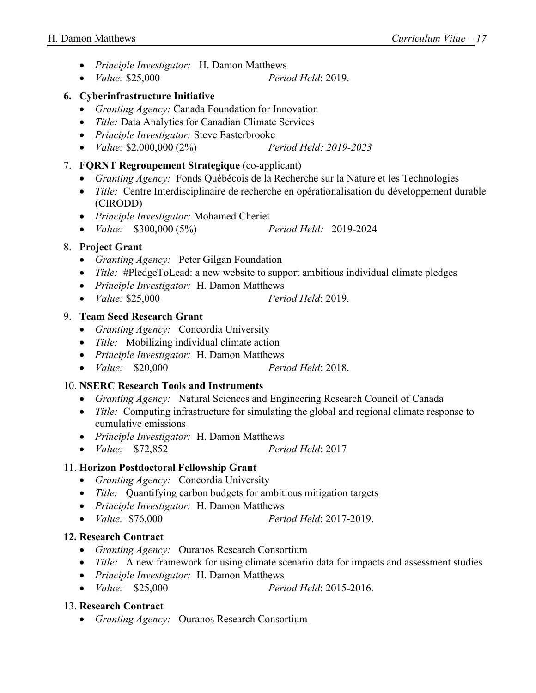- *Principle Investigator:* H. Damon Matthews
- *Value:* \$25,000 *Period Held*: 2019.

#### **6. Cyberinfrastructure Initiative**

- *Granting Agency:* Canada Foundation for Innovation
- *Title:* Data Analytics for Canadian Climate Services
- *Principle Investigator:* Steve Easterbrooke
- *Value:* \$2,000,000 (2%) *Period Held: 2019-2023*
- 7. **FQRNT Regroupement Strategique** (co-applicant)
	- *Granting Agency:* Fonds Québécois de la Recherche sur la Nature et les Technologies
	- *Title:* Centre Interdisciplinaire de recherche en opérationalisation du développement durable (CIRODD)
	- *Principle Investigator:* Mohamed Cheriet
	- *Value:* \$300,000 (5%) *Period Held:* 2019-2024

#### 8. **Project Grant**

- *Granting Agency:* Peter Gilgan Foundation
- *Title:* #PledgeToLead: a new website to support ambitious individual climate pledges
- *Principle Investigator:* H. Damon Matthews
- *Value:* \$25,000 *Period Held*: 2019.

#### 9. **Team Seed Research Grant**

- *Granting Agency:* Concordia University
- *Title:* Mobilizing individual climate action
- *Principle Investigator:* H. Damon Matthews
- *Value:* \$20,000 *Period Held*: 2018.

#### 10. **NSERC Research Tools and Instruments**

- *Granting Agency:* Natural Sciences and Engineering Research Council of Canada
- *Title:* Computing infrastructure for simulating the global and regional climate response to cumulative emissions
- *Principle Investigator:* H. Damon Matthews
- *Value:* \$72,852 *Period Held*: 2017

#### 11. **Horizon Postdoctoral Fellowship Grant**

- *Granting Agency:* Concordia University
- *Title:* Quantifying carbon budgets for ambitious mitigation targets
- *Principle Investigator:* H. Damon Matthews
- *Value:* \$76,000 *Period Held*: 2017-2019.

#### **12. Research Contract**

- *Granting Agency:* Ouranos Research Consortium
- *Title:* A new framework for using climate scenario data for impacts and assessment studies
- *Principle Investigator:* H. Damon Matthews
- *Value:* \$25,000 *Period Held*: 2015-2016.

#### 13. **Research Contract**

• *Granting Agency:* Ouranos Research Consortium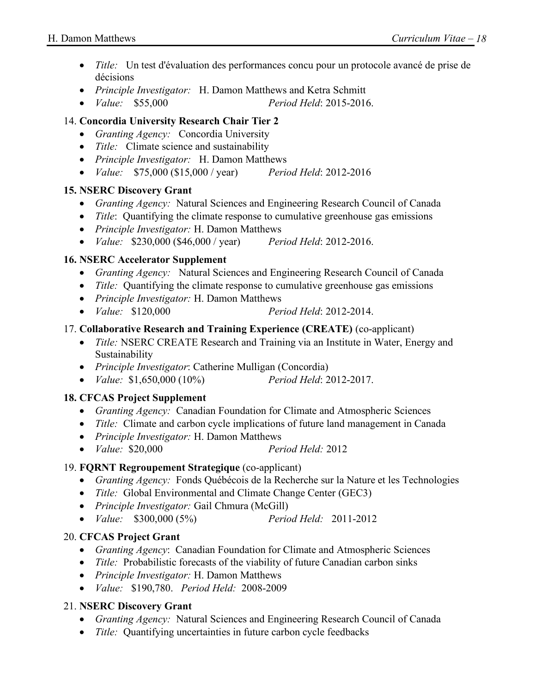- *Title:* Un test d'évaluation des performances concu pour un protocole avancé de prise de décisions
- *Principle Investigator:* H. Damon Matthews and Ketra Schmitt
- *Value:* \$55,000 *Period Held*: 2015-2016.

#### 14. **Concordia University Research Chair Tier 2**

- *Granting Agency:* Concordia University
- *Title:* Climate science and sustainability
- *Principle Investigator:* H. Damon Matthews
- *Value:* \$75,000 (\$15,000 / year) *Period Held*: 2012-2016

#### **15. NSERC Discovery Grant**

- *Granting Agency:* Natural Sciences and Engineering Research Council of Canada
- *Title*: Quantifying the climate response to cumulative greenhouse gas emissions
- *Principle Investigator:* H. Damon Matthews
- *Value:* \$230,000 (\$46,000 / year) *Period Held*: 2012-2016.

#### **16. NSERC Accelerator Supplement**

- *Granting Agency:* Natural Sciences and Engineering Research Council of Canada
- *Title:* Quantifying the climate response to cumulative greenhouse gas emissions
- *Principle Investigator:* H. Damon Matthews
- *Value:* \$120,000 *Period Held*: 2012-2014.

#### 17. **Collaborative Research and Training Experience (CREATE)** (co-applicant)

- *Title:* NSERC CREATE Research and Training via an Institute in Water, Energy and Sustainability
- *Principle Investigator*: Catherine Mulligan (Concordia)
- *Value:* \$1,650,000 (10%) *Period Held*: 2012-2017.

#### **18. CFCAS Project Supplement**

- *Granting Agency:* Canadian Foundation for Climate and Atmospheric Sciences
- *Title:* Climate and carbon cycle implications of future land management in Canada
- *Principle Investigator:* H. Damon Matthews
- *Value:* \$20,000 *Period Held:* 2012

#### 19. **FQRNT Regroupement Strategique** (co-applicant)

- *Granting Agency:* Fonds Québécois de la Recherche sur la Nature et les Technologies
- *Title:* Global Environmental and Climate Change Center (GEC3)
- *Principle Investigator:* Gail Chmura (McGill)
- *Value:* \$300,000 (5%) *Period Held:* 2011-2012

#### 20. **CFCAS Project Grant**

- *Granting Agency*: Canadian Foundation for Climate and Atmospheric Sciences
- *Title:* Probabilistic forecasts of the viability of future Canadian carbon sinks
- *Principle Investigator:* H. Damon Matthews
- *Value:* \$190,780. *Period Held:* 2008-2009

#### 21. **NSERC Discovery Grant**

- *Granting Agency:* Natural Sciences and Engineering Research Council of Canada
- *Title:* Quantifying uncertainties in future carbon cycle feedbacks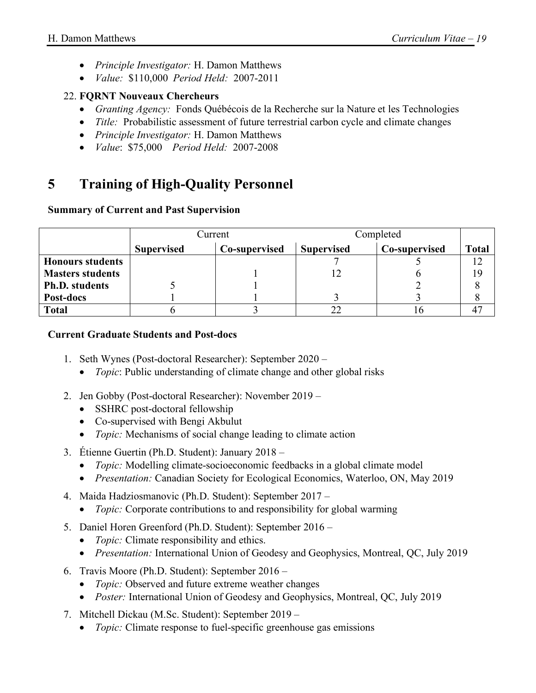- *Principle Investigator:* H. Damon Matthews
- *Value:* \$110,000 *Period Held:* 2007-2011

#### 22. **FQRNT Nouveaux Chercheurs**

- *Granting Agency:* Fonds Québécois de la Recherche sur la Nature et les Technologies
- *Title:* Probabilistic assessment of future terrestrial carbon cycle and climate changes
- *Principle Investigator:* H. Damon Matthews
- *Value*: \$75,000 *Period Held:* 2007-2008

# **5 Training of High-Quality Personnel**

#### **Summary of Current and Past Supervision**

|                         | Current           |               | Completed         |               |              |
|-------------------------|-------------------|---------------|-------------------|---------------|--------------|
|                         | <b>Supervised</b> | Co-supervised | <b>Supervised</b> | Co-supervised | <b>Total</b> |
| <b>Honours students</b> |                   |               |                   |               |              |
| <b>Masters students</b> |                   |               |                   |               | 19           |
| <b>Ph.D.</b> students   |                   |               |                   |               |              |
| Post-docs               |                   |               |                   |               |              |
| <b>Total</b>            |                   |               | $\cap$            |               | 47           |

#### **Current Graduate Students and Post-docs**

- 1. Seth Wynes (Post-doctoral Researcher): September 2020
	- *Topic*: Public understanding of climate change and other global risks
- 2. Jen Gobby (Post-doctoral Researcher): November 2019
	- SSHRC post-doctoral fellowship
	- Co-supervised with Bengi Akbulut
	- *Topic:* Mechanisms of social change leading to climate action
- 3. Étienne Guertin (Ph.D. Student): January 2018
	- *Topic:* Modelling climate-socioeconomic feedbacks in a global climate model
	- *Presentation:* Canadian Society for Ecological Economics, Waterloo, ON, May 2019
- 4. Maida Hadziosmanovic (Ph.D. Student): September 2017
	- *Topic:* Corporate contributions to and responsibility for global warming
- 5. Daniel Horen Greenford (Ph.D. Student): September 2016
	- *Topic:* Climate responsibility and ethics.
	- *Presentation:* International Union of Geodesy and Geophysics, Montreal, QC, July 2019
- 6. Travis Moore (Ph.D. Student): September 2016
	- *Topic:* Observed and future extreme weather changes
	- *Poster:* International Union of Geodesy and Geophysics, Montreal, QC, July 2019
- 7. Mitchell Dickau (M.Sc. Student): September 2019
	- *Topic:* Climate response to fuel-specific greenhouse gas emissions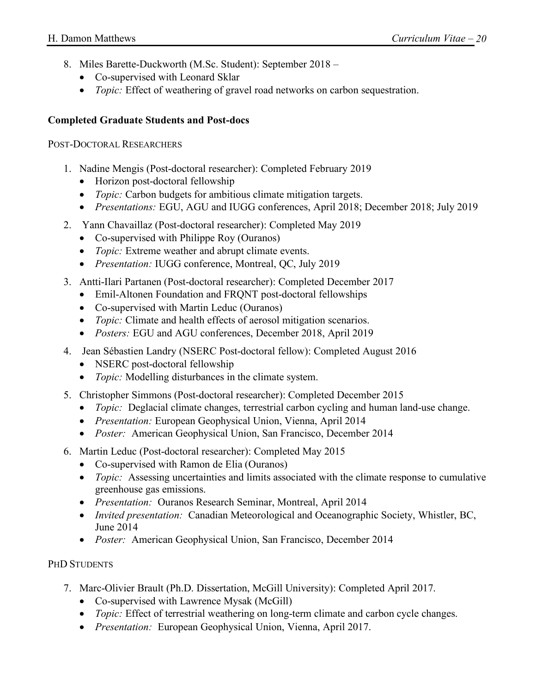- 8. Miles Barette-Duckworth (M.Sc. Student): September 2018
	- Co-supervised with Leonard Sklar
	- *Topic:* Effect of weathering of gravel road networks on carbon sequestration.

#### **Completed Graduate Students and Post-docs**

#### POST-DOCTORAL RESEARCHERS

- 1. Nadine Mengis (Post-doctoral researcher): Completed February 2019
	- Horizon post-doctoral fellowship
	- *Topic:* Carbon budgets for ambitious climate mitigation targets.
	- *Presentations:* EGU, AGU and IUGG conferences, April 2018; December 2018; July 2019
- 2. Yann Chavaillaz (Post-doctoral researcher): Completed May 2019
	- Co-supervised with Philippe Roy (Ouranos)
	- *Topic:* Extreme weather and abrupt climate events.
	- *Presentation:* IUGG conference, Montreal, QC, July 2019
- 3. Antti-Ilari Partanen (Post-doctoral researcher): Completed December 2017
	- Emil-Altonen Foundation and FRQNT post-doctoral fellowships
	- Co-supervised with Martin Leduc (Ouranos)
	- *Topic:* Climate and health effects of aerosol mitigation scenarios.
	- *Posters:* EGU and AGU conferences, December 2018, April 2019
- 4. Jean Sébastien Landry (NSERC Post-doctoral fellow): Completed August 2016
	- NSERC post-doctoral fellowship
	- *Topic:* Modelling disturbances in the climate system.
- 5. Christopher Simmons (Post-doctoral researcher): Completed December 2015
	- *Topic:* Deglacial climate changes, terrestrial carbon cycling and human land-use change.
	- *Presentation:* European Geophysical Union, Vienna, April 2014
	- *Poster:* American Geophysical Union, San Francisco, December 2014
- 6. Martin Leduc (Post-doctoral researcher): Completed May 2015
	- Co-supervised with Ramon de Elia (Ouranos)
	- *Topic:* Assessing uncertainties and limits associated with the climate response to cumulative greenhouse gas emissions.
	- *Presentation:* Ouranos Research Seminar, Montreal, April 2014
	- *Invited presentation:* Canadian Meteorological and Oceanographic Society, Whistler, BC, June 2014
	- *Poster:* American Geophysical Union, San Francisco, December 2014

#### PHD STUDENTS

- 7. Marc-Olivier Brault (Ph.D. Dissertation, McGill University): Completed April 2017.
	- Co-supervised with Lawrence Mysak (McGill)
	- *Topic:* Effect of terrestrial weathering on long-term climate and carbon cycle changes.
	- *Presentation:* European Geophysical Union, Vienna, April 2017.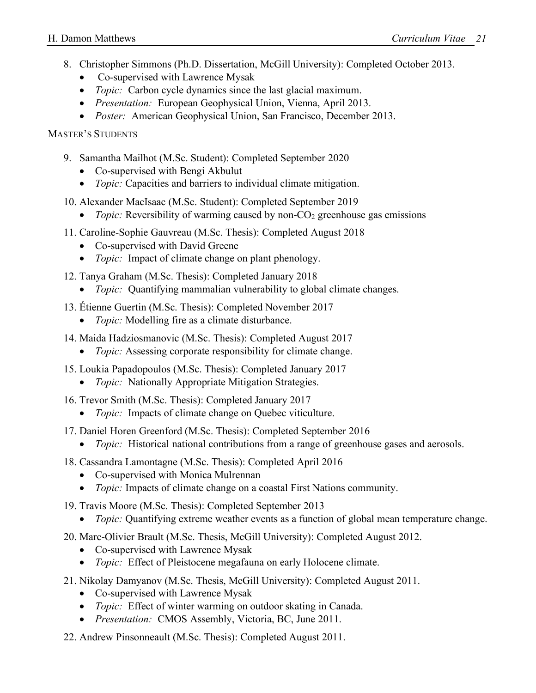- 8. Christopher Simmons (Ph.D. Dissertation, McGill University): Completed October 2013.
	- Co-supervised with Lawrence Mysak
	- *Topic:* Carbon cycle dynamics since the last glacial maximum.
	- *Presentation:* European Geophysical Union, Vienna, April 2013.
	- *Poster:* American Geophysical Union, San Francisco, December 2013.

MASTER'S STUDENTS

- 9. Samantha Mailhot (M.Sc. Student): Completed September 2020
	- Co-supervised with Bengi Akbulut
	- *Topic:* Capacities and barriers to individual climate mitigation.
- 10. Alexander MacIsaac (M.Sc. Student): Completed September 2019
	- *Topic:* Reversibility of warming caused by non-CO<sub>2</sub> greenhouse gas emissions
- 11. Caroline-Sophie Gauvreau (M.Sc. Thesis): Completed August 2018
	- Co-supervised with David Greene
	- *Topic:* Impact of climate change on plant phenology.
- 12. Tanya Graham (M.Sc. Thesis): Completed January 2018
	- *Topic:* Quantifying mammalian vulnerability to global climate changes.
- 13. Étienne Guertin (M.Sc. Thesis): Completed November 2017
	- *Topic:* Modelling fire as a climate disturbance.
- 14. Maida Hadziosmanovic (M.Sc. Thesis): Completed August 2017
	- *Topic:* Assessing corporate responsibility for climate change.
- 15. Loukia Papadopoulos (M.Sc. Thesis): Completed January 2017
	- *Topic:* Nationally Appropriate Mitigation Strategies.
- 16. Trevor Smith (M.Sc. Thesis): Completed January 2017
	- *Topic:* Impacts of climate change on Quebec viticulture.
- 17. Daniel Horen Greenford (M.Sc. Thesis): Completed September 2016
	- *Topic:* Historical national contributions from a range of greenhouse gases and aerosols.
- 18. Cassandra Lamontagne (M.Sc. Thesis): Completed April 2016
	- Co-supervised with Monica Mulrennan
	- *Topic:* Impacts of climate change on a coastal First Nations community.
- 19. Travis Moore (M.Sc. Thesis): Completed September 2013
	- *Topic:* Quantifying extreme weather events as a function of global mean temperature change.
- 20. Marc-Olivier Brault (M.Sc. Thesis, McGill University): Completed August 2012.
	- Co-supervised with Lawrence Mysak
	- *Topic:* Effect of Pleistocene megafauna on early Holocene climate.
- 21. Nikolay Damyanov (M.Sc. Thesis, McGill University): Completed August 2011.
	- Co-supervised with Lawrence Mysak
	- *Topic:* Effect of winter warming on outdoor skating in Canada.
	- *Presentation:* CMOS Assembly, Victoria, BC, June 2011.
- 22. Andrew Pinsonneault (M.Sc. Thesis): Completed August 2011.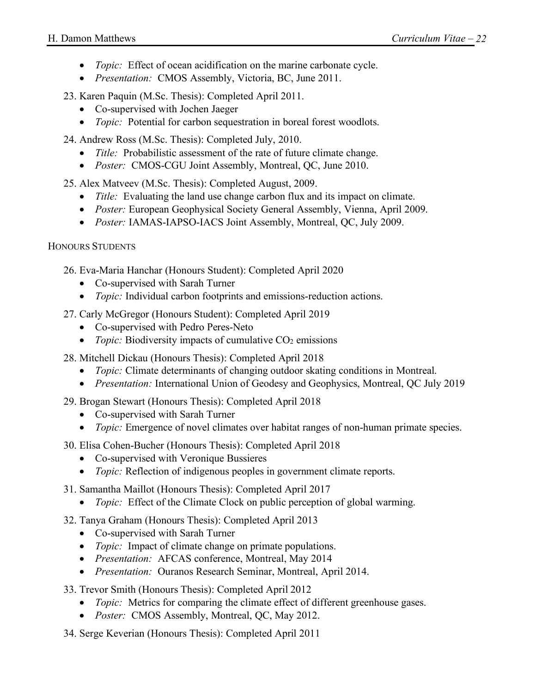- *Topic:* Effect of ocean acidification on the marine carbonate cycle.
- *Presentation:* CMOS Assembly, Victoria, BC, June 2011.

23. Karen Paquin (M.Sc. Thesis): Completed April 2011.

- Co-supervised with Jochen Jaeger
- *Topic:* Potential for carbon sequestration in boreal forest woodlots.

24. Andrew Ross (M.Sc. Thesis): Completed July, 2010.

- *Title:* Probabilistic assessment of the rate of future climate change.
- *Poster:* CMOS-CGU Joint Assembly, Montreal, QC, June 2010.

25. Alex Matveev (M.Sc. Thesis): Completed August, 2009.

- *Title:* Evaluating the land use change carbon flux and its impact on climate.
- *Poster:* European Geophysical Society General Assembly, Vienna, April 2009.
- *Poster:* IAMAS-IAPSO-IACS Joint Assembly, Montreal, QC, July 2009.

HONOURS STUDENTS

26. Eva-Maria Hanchar (Honours Student): Completed April 2020

- Co-supervised with Sarah Turner
- *Topic:* Individual carbon footprints and emissions-reduction actions.

27. Carly McGregor (Honours Student): Completed April 2019

- Co-supervised with Pedro Peres-Neto
- *Topic:* Biodiversity impacts of cumulative  $CO<sub>2</sub>$  emissions
- 28. Mitchell Dickau (Honours Thesis): Completed April 2018
	- *Topic:* Climate determinants of changing outdoor skating conditions in Montreal.
	- *Presentation:* International Union of Geodesy and Geophysics, Montreal, QC July 2019
- 29. Brogan Stewart (Honours Thesis): Completed April 2018
	- Co-supervised with Sarah Turner
	- *Topic:* Emergence of novel climates over habitat ranges of non-human primate species.

30. Elisa Cohen-Bucher (Honours Thesis): Completed April 2018

- Co-supervised with Veronique Bussieres
- *Topic:* Reflection of indigenous peoples in government climate reports.
- 31. Samantha Maillot (Honours Thesis): Completed April 2017
	- *Topic:* Effect of the Climate Clock on public perception of global warming.

#### 32. Tanya Graham (Honours Thesis): Completed April 2013

- Co-supervised with Sarah Turner
- *Topic:* Impact of climate change on primate populations.
- *Presentation:* AFCAS conference, Montreal, May 2014
- *Presentation:* Ouranos Research Seminar, Montreal, April 2014.
- 33. Trevor Smith (Honours Thesis): Completed April 2012
	- *Topic:* Metrics for comparing the climate effect of different greenhouse gases.
	- *Poster:* CMOS Assembly, Montreal, QC, May 2012.
- 34. Serge Keverian (Honours Thesis): Completed April 2011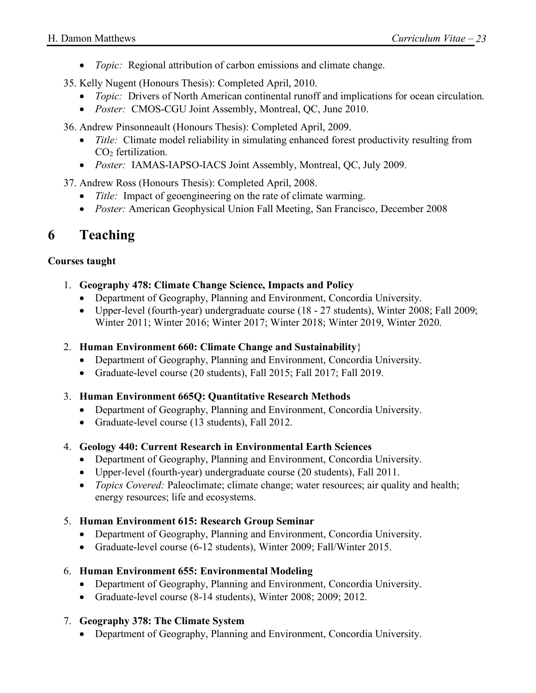- *Topic:* Regional attribution of carbon emissions and climate change.
- 35. Kelly Nugent (Honours Thesis): Completed April, 2010.
	- *Topic:* Drivers of North American continental runoff and implications for ocean circulation.
	- *Poster:* CMOS-CGU Joint Assembly, Montreal, QC, June 2010.
- 36. Andrew Pinsonneault (Honours Thesis): Completed April, 2009.
	- *Title:* Climate model reliability in simulating enhanced forest productivity resulting from CO<sub>2</sub> fertilization.
	- *Poster:* IAMAS-IAPSO-IACS Joint Assembly, Montreal, QC, July 2009.
- 37. Andrew Ross (Honours Thesis): Completed April, 2008.
	- *Title:* Impact of geoengineering on the rate of climate warming.
	- *Poster:* American Geophysical Union Fall Meeting, San Francisco, December 2008

## **6 Teaching**

#### **Courses taught**

- 1. **Geography 478: Climate Change Science, Impacts and Policy**
	- Department of Geography, Planning and Environment, Concordia University.
	- Upper-level (fourth-year) undergraduate course (18 27 students), Winter 2008; Fall 2009; Winter 2011; Winter 2016; Winter 2017; Winter 2018; Winter 2019, Winter 2020.
- 2. **Human Environment 660: Climate Change and Sustainability**}
	- Department of Geography, Planning and Environment, Concordia University.
	- Graduate-level course (20 students), Fall 2015; Fall 2017; Fall 2019.
- 3. **Human Environment 665Q: Quantitative Research Methods**
	- Department of Geography, Planning and Environment, Concordia University.
	- Graduate-level course (13 students), Fall 2012.
- 4. **Geology 440: Current Research in Environmental Earth Sciences**
	- Department of Geography, Planning and Environment, Concordia University.
	- Upper-level (fourth-year) undergraduate course (20 students), Fall 2011.
	- *Topics Covered:* Paleoclimate; climate change; water resources; air quality and health; energy resources; life and ecosystems.

#### 5. **Human Environment 615: Research Group Seminar**

- Department of Geography, Planning and Environment, Concordia University.
- Graduate-level course (6-12 students), Winter 2009; Fall/Winter 2015.

#### 6. **Human Environment 655: Environmental Modeling**

- Department of Geography, Planning and Environment, Concordia University.
- Graduate-level course (8-14 students), Winter 2008; 2009; 2012.

#### 7. **Geography 378: The Climate System**

• Department of Geography, Planning and Environment, Concordia University.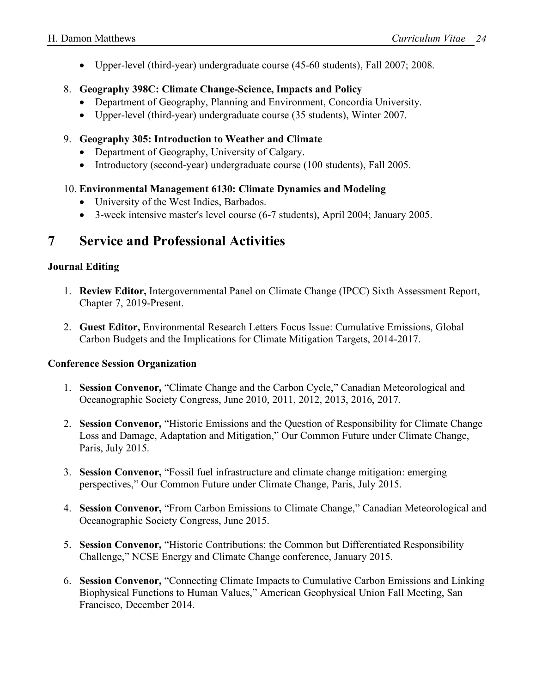• Upper-level (third-year) undergraduate course (45-60 students), Fall 2007; 2008.

#### 8. **Geography 398C: Climate Change-Science, Impacts and Policy**

- Department of Geography, Planning and Environment, Concordia University.
- Upper-level (third-year) undergraduate course (35 students), Winter 2007.
- 9. **Geography 305: Introduction to Weather and Climate**
	- Department of Geography, University of Calgary.
	- Introductory (second-year) undergraduate course (100 students), Fall 2005.

#### 10. **Environmental Management 6130: Climate Dynamics and Modeling**

- University of the West Indies, Barbados.
- 3-week intensive master's level course (6-7 students), April 2004; January 2005.

## **7 Service and Professional Activities**

#### **Journal Editing**

- 1. **Review Editor,** Intergovernmental Panel on Climate Change (IPCC) Sixth Assessment Report, Chapter 7, 2019-Present.
- 2. **Guest Editor,** Environmental Research Letters Focus Issue: Cumulative Emissions, Global Carbon Budgets and the Implications for Climate Mitigation Targets, 2014-2017.

#### **Conference Session Organization**

- 1. **Session Convenor,** "Climate Change and the Carbon Cycle," Canadian Meteorological and Oceanographic Society Congress, June 2010, 2011, 2012, 2013, 2016, 2017.
- 2. **Session Convenor,** "Historic Emissions and the Question of Responsibility for Climate Change Loss and Damage, Adaptation and Mitigation," Our Common Future under Climate Change, Paris, July 2015.
- 3. **Session Convenor,** "Fossil fuel infrastructure and climate change mitigation: emerging perspectives," Our Common Future under Climate Change, Paris, July 2015.
- 4. **Session Convenor,** "From Carbon Emissions to Climate Change," Canadian Meteorological and Oceanographic Society Congress, June 2015.
- 5. **Session Convenor,** "Historic Contributions: the Common but Differentiated Responsibility Challenge," NCSE Energy and Climate Change conference, January 2015.
- 6. **Session Convenor,** "Connecting Climate Impacts to Cumulative Carbon Emissions and Linking Biophysical Functions to Human Values," American Geophysical Union Fall Meeting, San Francisco, December 2014.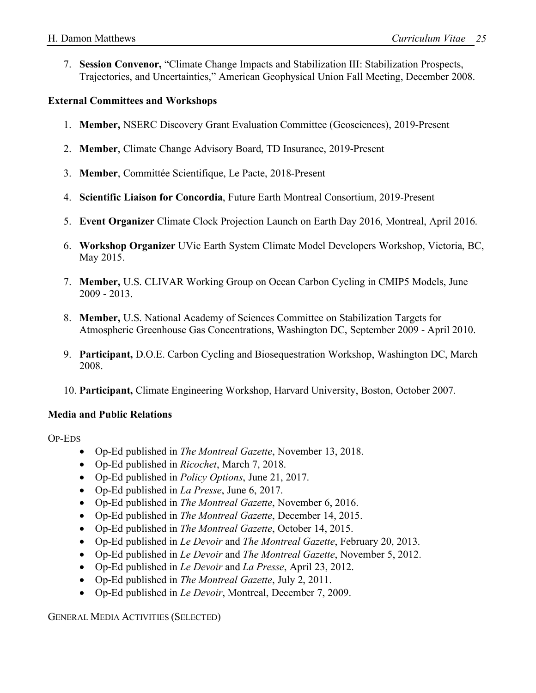7. **Session Convenor,** "Climate Change Impacts and Stabilization III: Stabilization Prospects, Trajectories, and Uncertainties," American Geophysical Union Fall Meeting, December 2008.

#### **External Committees and Workshops**

- 1. **Member,** NSERC Discovery Grant Evaluation Committee (Geosciences), 2019-Present
- 2. **Member**, Climate Change Advisory Board, TD Insurance, 2019-Present
- 3. **Member**, Committée Scientifique, Le Pacte, 2018-Present
- 4. **Scientific Liaison for Concordia**, Future Earth Montreal Consortium, 2019-Present
- 5. **Event Organizer** Climate Clock Projection Launch on Earth Day 2016, Montreal, April 2016.
- 6. **Workshop Organizer** UVic Earth System Climate Model Developers Workshop, Victoria, BC, May 2015.
- 7. **Member,** U.S. CLIVAR Working Group on Ocean Carbon Cycling in CMIP5 Models, June 2009 - 2013.
- 8. **Member,** U.S. National Academy of Sciences Committee on Stabilization Targets for Atmospheric Greenhouse Gas Concentrations, Washington DC, September 2009 - April 2010.
- 9. **Participant,** D.O.E. Carbon Cycling and Biosequestration Workshop, Washington DC, March 2008.
- 10. **Participant,** Climate Engineering Workshop, Harvard University, Boston, October 2007.

#### **Media and Public Relations**

OP-EDS

- Op-Ed published in *The Montreal Gazette*, November 13, 2018.
- Op-Ed published in *Ricochet*, March 7, 2018.
- Op-Ed published in *Policy Options*, June 21, 2017.
- Op-Ed published in *La Presse*, June 6, 2017.
- Op-Ed published in *The Montreal Gazette*, November 6, 2016.
- Op-Ed published in *The Montreal Gazette*, December 14, 2015.
- Op-Ed published in *The Montreal Gazette*, October 14, 2015.
- Op-Ed published in *Le Devoir* and *The Montreal Gazette*, February 20, 2013.
- Op-Ed published in *Le Devoir* and *The Montreal Gazette*, November 5, 2012.
- Op-Ed published in *Le Devoir* and *La Presse*, April 23, 2012.
- Op-Ed published in *The Montreal Gazette*, July 2, 2011.
- Op-Ed published in *Le Devoir*, Montreal, December 7, 2009.

GENERAL MEDIA ACTIVITIES (SELECTED)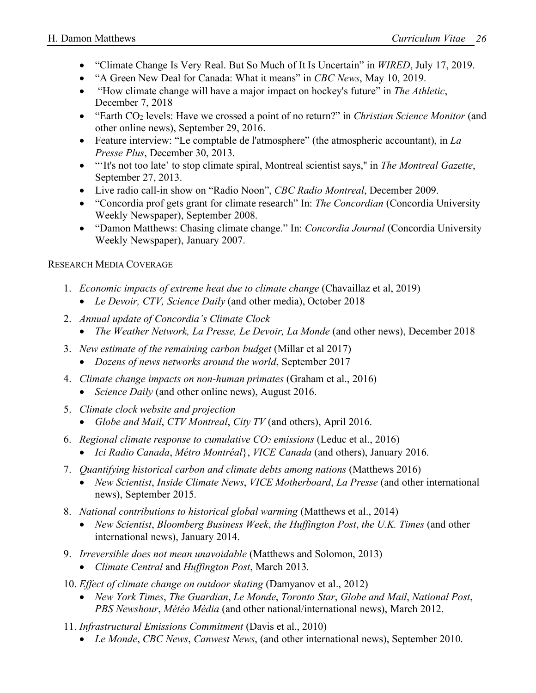- "Climate Change Is Very Real. But So Much of It Is Uncertain" in *WIRED*, July 17, 2019.
- "A Green New Deal for Canada: What it means" in *CBC News*, May 10, 2019.
- "How climate change will have a major impact on hockey's future" in *The Athletic*, December 7, 2018
- "Earth CO<sub>2</sub> levels: Have we crossed a point of no return?" in *Christian Science Monitor* (and other online news), September 29, 2016.
- Feature interview: "Le comptable de l'atmosphere" (the atmospheric accountant), in *La Presse Plus*, December 30, 2013.
- "'It's not too late' to stop climate spiral, Montreal scientist says,'' in *The Montreal Gazette*, September 27, 2013.
- Live radio call-in show on "Radio Noon", *CBC Radio Montreal*, December 2009.
- "Concordia prof gets grant for climate research" In: *The Concordian* (Concordia University Weekly Newspaper), September 2008.
- "Damon Matthews: Chasing climate change." In: *Concordia Journal* (Concordia University Weekly Newspaper), January 2007.

#### RESEARCH MEDIA COVERAGE

- 1. *Economic impacts of extreme heat due to climate change* (Chavaillaz et al, 2019)
	- *Le Devoir, CTV, Science Daily* (and other media), October 2018
- 2. *Annual update of Concordia's Climate Clock*
	- *The Weather Network, La Presse, Le Devoir, La Monde* (and other news), December 2018
- 3. *New estimate of the remaining carbon budget* (Millar et al 2017)
	- *Dozens of news networks around the world*, September 2017
- 4. *Climate change impacts on non-human primates* (Graham et al., 2016)
	- *Science Daily* (and other online news), August 2016.
- 5. *Climate clock website and projection*
	- *Globe and Mail*, *CTV Montreal*, *City TV* (and others), April 2016.
- 6. *Regional climate response to cumulative CO2 emissions* (Leduc et al., 2016)
	- *Ici Radio Canada*, *Métro Montréal*}, *VICE Canada* (and others), January 2016.
- 7. *Quantifying historical carbon and climate debts among nations* (Matthews 2016)
	- *New Scientist*, *Inside Climate News*, *VICE Motherboard*, *La Presse* (and other international news), September 2015.
- 8. *National contributions to historical global warming* (Matthews et al., 2014)
	- *New Scientist*, *Bloomberg Business Week*, *the Huffington Post*, *the U.K. Times* (and other international news), January 2014.
- 9. *Irreversible does not mean unavoidable* (Matthews and Solomon, 2013)
	- *Climate Central* and *Huffington Post*, March 2013.
- 10. *Effect of climate change on outdoor skating* (Damyanov et al., 2012)
	- *New York Times*, *The Guardian*, *Le Monde*, *Toronto Star*, *Globe and Mail*, *National Post*, *PBS Newshour*, *Météo Média* (and other national/international news), March 2012.
- 11. *Infrastructural Emissions Commitment* (Davis et al., 2010)
	- *Le Monde*, *CBC News*, *Canwest News*, (and other international news), September 2010.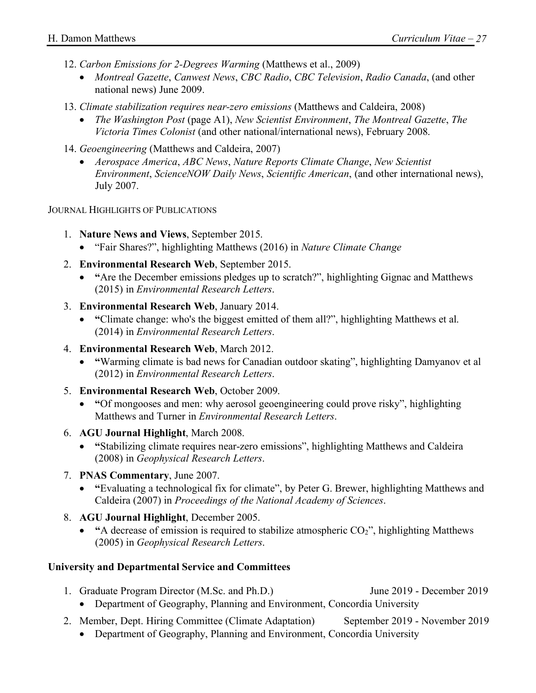- 12. *Carbon Emissions for 2-Degrees Warming* (Matthews et al., 2009)
	- *Montreal Gazette*, *Canwest News*, *CBC Radio*, *CBC Television*, *Radio Canada*, (and other national news) June 2009.
- 13. *Climate stabilization requires near-zero emissions* (Matthews and Caldeira, 2008)
	- *The Washington Post* (page A1), *New Scientist Environment*, *The Montreal Gazette*, *The Victoria Times Colonist* (and other national/international news), February 2008.
- 14. *Geoengineering* (Matthews and Caldeira, 2007)
	- *Aerospace America*, *ABC News*, *Nature Reports Climate Change*, *New Scientist Environment*, *ScienceNOW Daily News*, *Scientific American*, (and other international news), July 2007.

JOURNAL HIGHLIGHTS OF PUBLICATIONS

- 1. **Nature News and Views**, September 2015.
	- "Fair Shares?", highlighting Matthews (2016) in *Nature Climate Change*
- 2. **Environmental Research Web**, September 2015.
	- **"**Are the December emissions pledges up to scratch?", highlighting Gignac and Matthews (2015) in *Environmental Research Letters*.
- 3. **Environmental Research Web**, January 2014.
	- **"**Climate change: who's the biggest emitted of them all?", highlighting Matthews et al. (2014) in *Environmental Research Letters*.
- 4. **Environmental Research Web**, March 2012.
	- **"**Warming climate is bad news for Canadian outdoor skating", highlighting Damyanov et al (2012) in *Environmental Research Letters*.
- 5. **Environmental Research Web**, October 2009.
	- **"**Of mongooses and men: why aerosol geoengineering could prove risky", highlighting Matthews and Turner in *Environmental Research Letters*.
- 6. **AGU Journal Highlight**, March 2008.
	- **"**Stabilizing climate requires near-zero emissions", highlighting Matthews and Caldeira (2008) in *Geophysical Research Letters*.
- 7. **PNAS Commentary**, June 2007.
	- **"**Evaluating a technological fix for climate", by Peter G. Brewer, highlighting Matthews and Caldeira (2007) in *Proceedings of the National Academy of Sciences*.
- 8. **AGU Journal Highlight**, December 2005.
	- "A decrease of emission is required to stabilize atmospheric CO<sub>2</sub>", highlighting Matthews (2005) in *Geophysical Research Letters*.

#### **University and Departmental Service and Committees**

- 1. Graduate Program Director (M.Sc. and Ph.D.) June 2019 December 2019 • Department of Geography, Planning and Environment, Concordia University
- 2. Member, Dept. Hiring Committee (Climate Adaptation) September 2019 November 2019
	- Department of Geography, Planning and Environment, Concordia University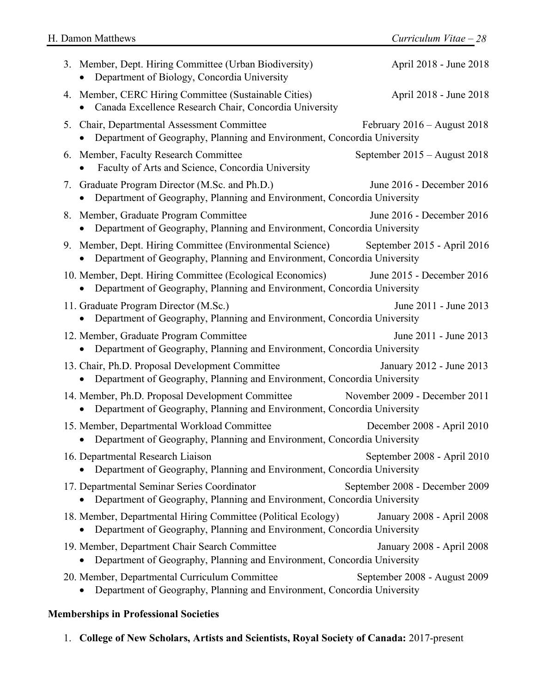|    | 3. Member, Dept. Hiring Committee (Urban Biodiversity)<br>Department of Biology, Concordia University                                    | April 2018 - June 2018         |
|----|------------------------------------------------------------------------------------------------------------------------------------------|--------------------------------|
|    | 4. Member, CERC Hiring Committee (Sustainable Cities)<br>Canada Excellence Research Chair, Concordia University                          | April 2018 - June 2018         |
|    | 5. Chair, Departmental Assessment Committee<br>Department of Geography, Planning and Environment, Concordia University                   | February $2016 -$ August 2018  |
|    | 6. Member, Faculty Research Committee<br>Faculty of Arts and Science, Concordia University                                               | September 2015 – August 2018   |
|    | 7. Graduate Program Director (M.Sc. and Ph.D.)<br>Department of Geography, Planning and Environment, Concordia University                | June 2016 - December 2016      |
|    | 8. Member, Graduate Program Committee<br>Department of Geography, Planning and Environment, Concordia University                         | June 2016 - December 2016      |
| 9. | Member, Dept. Hiring Committee (Environmental Science)<br>Department of Geography, Planning and Environment, Concordia University        | September 2015 - April 2016    |
|    | 10. Member, Dept. Hiring Committee (Ecological Economics)<br>Department of Geography, Planning and Environment, Concordia University     | June 2015 - December 2016      |
|    | 11. Graduate Program Director (M.Sc.)<br>Department of Geography, Planning and Environment, Concordia University                         | June 2011 - June 2013          |
|    | 12. Member, Graduate Program Committee<br>Department of Geography, Planning and Environment, Concordia University<br>$\bullet$           | June 2011 - June 2013          |
|    | 13. Chair, Ph.D. Proposal Development Committee<br>Department of Geography, Planning and Environment, Concordia University               | January 2012 - June 2013       |
|    | 14. Member, Ph.D. Proposal Development Committee<br>Department of Geography, Planning and Environment, Concordia University              | November 2009 - December 2011  |
|    | 15. Member, Departmental Workload Committee<br>Department of Geography, Planning and Environment, Concordia University                   | December 2008 - April 2010     |
|    | 16. Departmental Research Liaison<br>Department of Geography, Planning and Environment, Concordia University<br>$\bullet$                | September 2008 - April 2010    |
|    | 17. Departmental Seminar Series Coordinator<br>Department of Geography, Planning and Environment, Concordia University                   | September 2008 - December 2009 |
|    | 18. Member, Departmental Hiring Committee (Political Ecology)<br>Department of Geography, Planning and Environment, Concordia University | January 2008 - April 2008      |
|    | 19. Member, Department Chair Search Committee<br>Department of Geography, Planning and Environment, Concordia University                 | January 2008 - April 2008      |
|    | 20. Member, Departmental Curriculum Committee<br>Department of Geography, Planning and Environment, Concordia University                 | September 2008 - August 2009   |
|    |                                                                                                                                          |                                |

#### **Memberships in Professional Societies**

1. **College of New Scholars, Artists and Scientists, Royal Society of Canada:** 2017-present